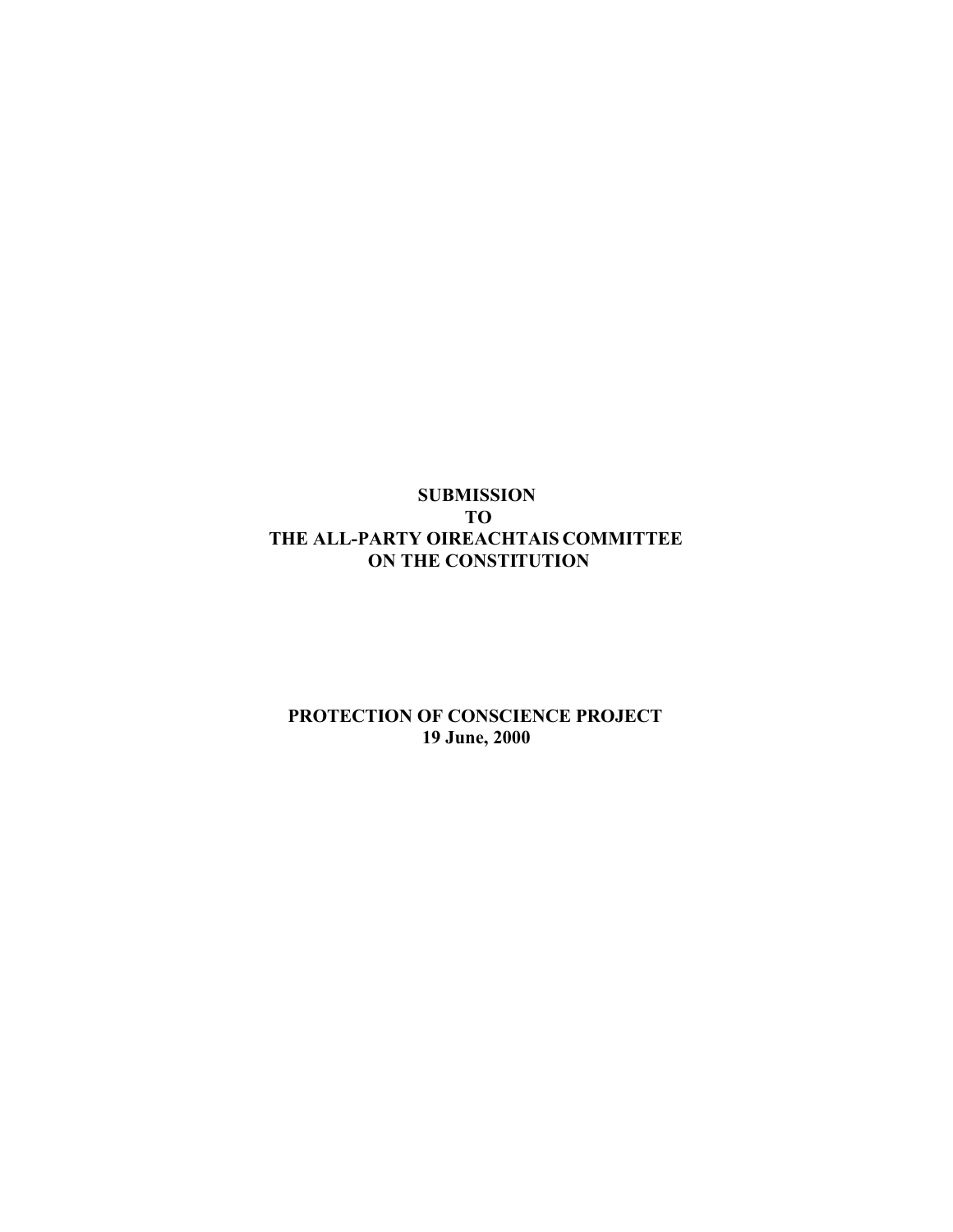## **SUBMISSION TO THE ALL-PARTY OIREACHTAIS COMMITTEE ON THE CONSTITUTION**

## **PROTECTION OF CONSCIENCE PROJECT 19 June, 2000**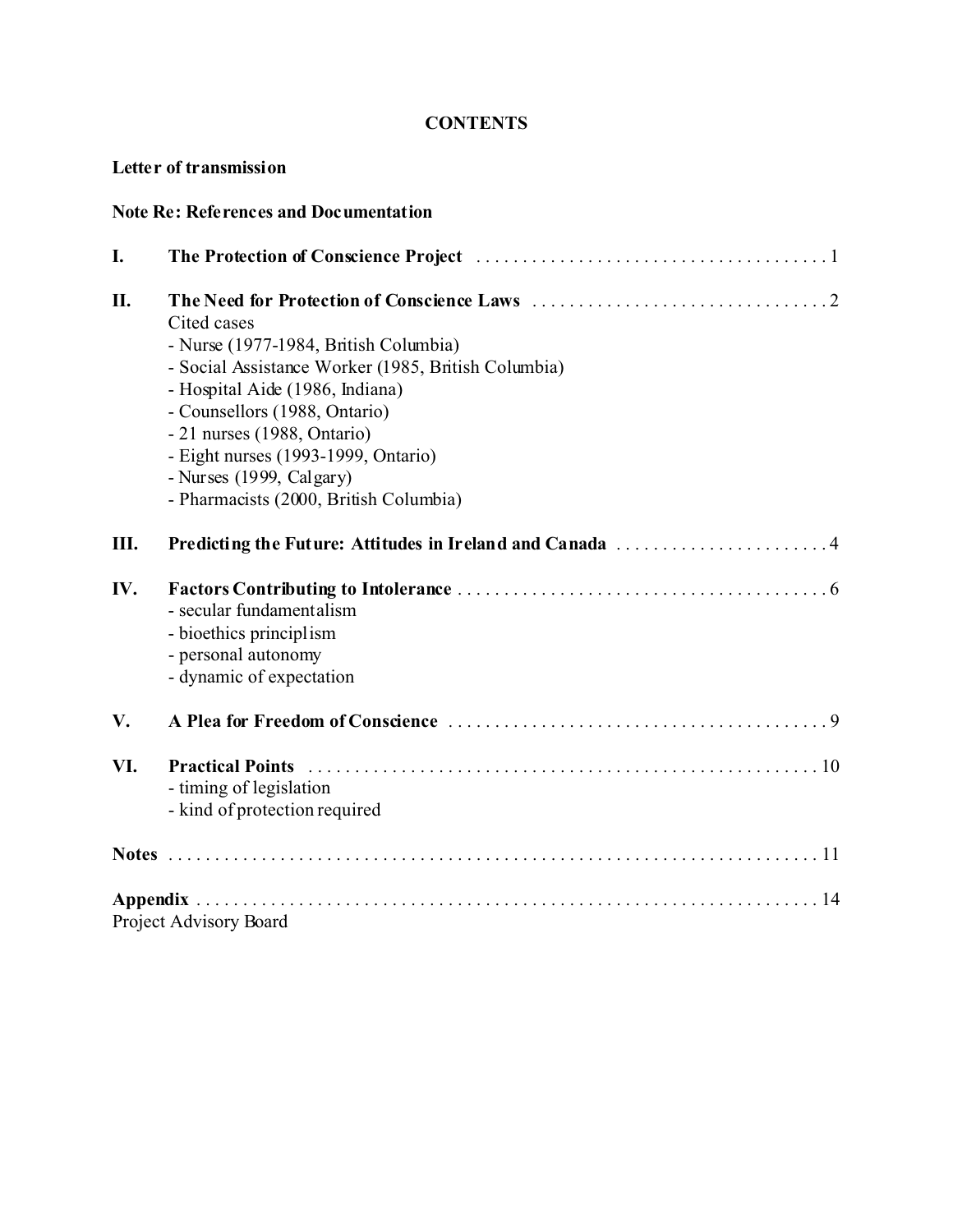## **CONTENTS**

## **Letter of transmission**

| <b>Note Re: References and Documentation</b> |                                                                                                                                                                                                                                                                                                                               |  |
|----------------------------------------------|-------------------------------------------------------------------------------------------------------------------------------------------------------------------------------------------------------------------------------------------------------------------------------------------------------------------------------|--|
| I.                                           |                                                                                                                                                                                                                                                                                                                               |  |
| Η.                                           | Cited cases<br>- Nurse (1977-1984, British Columbia)<br>- Social Assistance Worker (1985, British Columbia)<br>- Hospital Aide (1986, Indiana)<br>- Counsellors (1988, Ontario)<br>- 21 nurses (1988, Ontario)<br>- Eight nurses (1993-1999, Ontario)<br>- Nurses $(1999, Calgary)$<br>- Pharmacists (2000, British Columbia) |  |
| Ш.                                           | Predicting the Future: Attitudes in Ireland and Canada 4                                                                                                                                                                                                                                                                      |  |
| IV.                                          | - secular fundamentalism<br>- bioethics principlism<br>- personal autonomy<br>- dynamic of expectation                                                                                                                                                                                                                        |  |
| V.                                           |                                                                                                                                                                                                                                                                                                                               |  |
| VI.                                          | <b>Practical Points</b><br>- timing of legislation<br>- kind of protection required                                                                                                                                                                                                                                           |  |
|                                              |                                                                                                                                                                                                                                                                                                                               |  |
|                                              | Project Advisory Board                                                                                                                                                                                                                                                                                                        |  |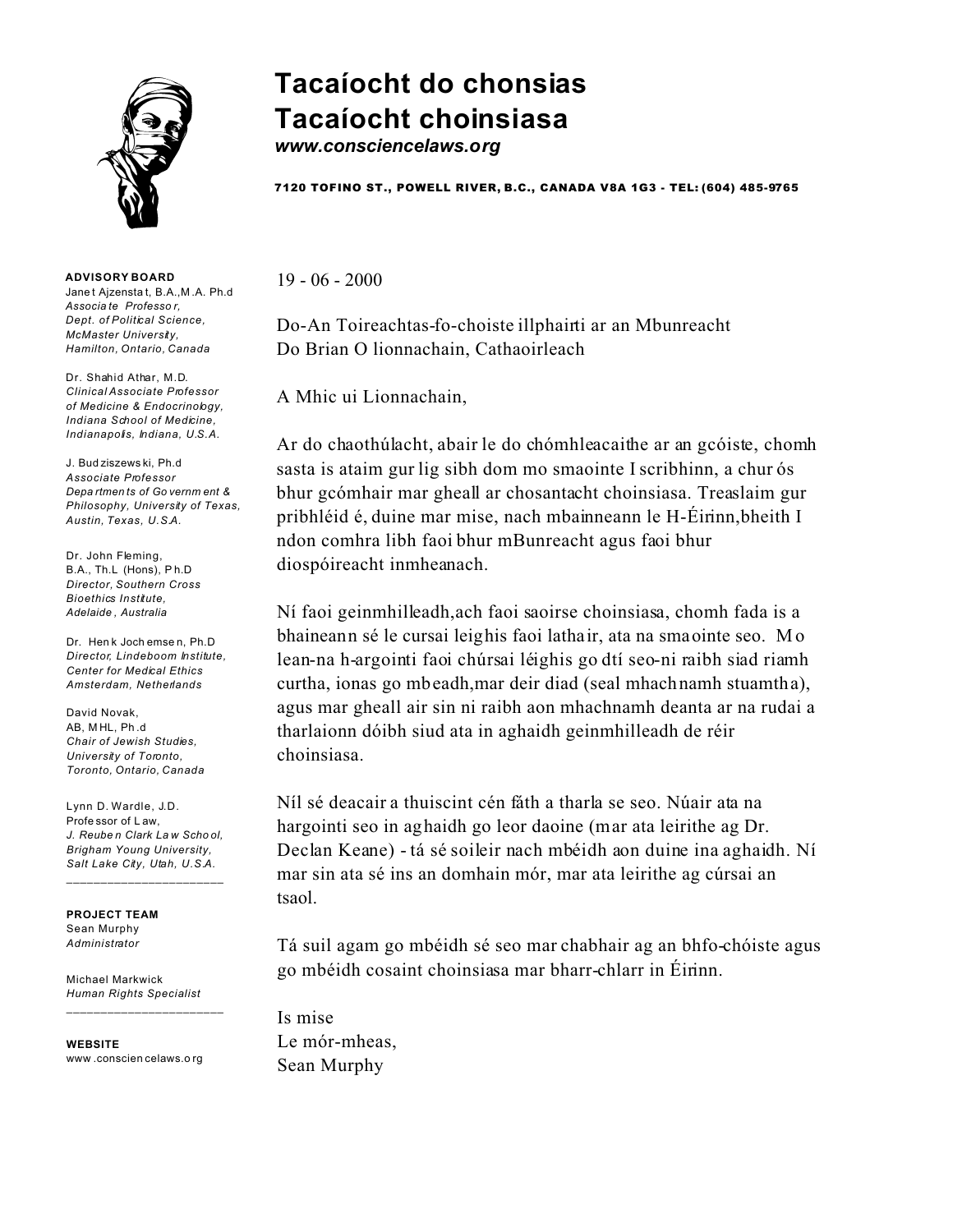

**ADVISORY BOARD** Jane t Ajzensta t, B.A.,M .A. Ph.d *Associa te Professo r, Dept. of Political Science, McMaster University, Hamilton, Ontario, Canada*

Dr. Shahid Athar, M.D. *Clinical Associate Professor of Medicine & Endocrinology, Indiana School of Medicine, Indianapolis, Indiana, U.S.A.*

J. Bud ziszews ki, Ph.d *Associate Professor Depa rtmen ts of Go vernm ent & Philosophy, University of Texas, Austin, Texas, U.S.A.*

Dr. John Fleming, B.A., Th.L (Hons), P h.D *Director, Southern Cross Bioethics Institute, Adelaide , Australia*

Dr. Hen k Joch emse n, Ph.D *Director, Lindeboom Institute, Center for Medical Ethics Amsterdam, Netherlands*

David Novak, AB, M HL, Ph .d *Chair of Jewish Studies, University of Toronto, Toronto, Ontario, Canada*

Lynn D. Wardle, J.D. Profe ssor of L aw, *J. Reube n Clark La w Scho ol, Brigham Young University, Salt Lake City, Utah, U.S.A.*

 $\_$ 

**PROJECT TEAM** Sean Murphy *Administrator*

Michael Markwick *Human Rights Specialist*

**WEBSITE** www .conscien celaws.o rg

\_\_\_\_\_\_\_\_\_\_\_\_\_\_\_\_\_\_\_\_\_\_\_

# **Tacaíocht do chonsias Tacaíocht choinsiasa**

*www.consciencelaws.org*

7120 TOFINO ST., POWELL RIVER, B.C., CANADA V8A 1G3 - TEL: (604) 485-9765

19 - 06 - 2000

Do-An Toireachtas-fo-choiste illphairti ar an Mbunreacht Do Brian O lionnachain, Cathaoirleach

A Mhic ui Lionnachain,

Ar do chaothúlacht, abair le do chómhleacaithe ar an gcóiste, chomh sasta is ataim gur lig sibh dom mo smaointe I scribhinn, a chur ós bhur gcómhair mar gheall ar chosantacht choinsiasa. Treaslaim gur pribhléid é, duine mar mise, nach mbainneann le H-Éirinn,bheith I ndon comhra libh faoi bhur mBunreacht agus faoi bhur diospóireacht inmheanach.

Ní faoi geinmhilleadh,ach faoi saoirse choinsiasa, chomh fada is a bhaineann sé le cursai leighis faoi lathair, ata na smaointe seo. Mo lean-na h-argointi faoi chúrsai léighis go dtí seo-ni raibh siad riamh curtha, ionas go mbeadh,mar deir diad (seal mhachnamh stuamtha), agus mar gheall air sin ni raibh aon mhachnamh deanta ar na rudai a tharlaionn dóibh siud ata in aghaidh geinmhilleadh de réir choinsiasa.

Níl sé deacair a thuiscint cén fáth a tharla se seo. Núair ata na hargointi seo in aghaidh go leor daoine (mar ata leirithe ag Dr. Declan Keane) - tá sé soileir nach mbéidh aon duine ina aghaidh. Ní mar sin ata sé ins an domhain mór, mar ata leirithe ag cúrsai an tsaol.

Tá suil agam go mbéidh sé seo mar chabhair ag an bhfo-chóiste agus go mbéidh cosaint choinsiasa mar bharr-chlarr in Éirinn.

Is mise Le mór-mheas, Sean Murphy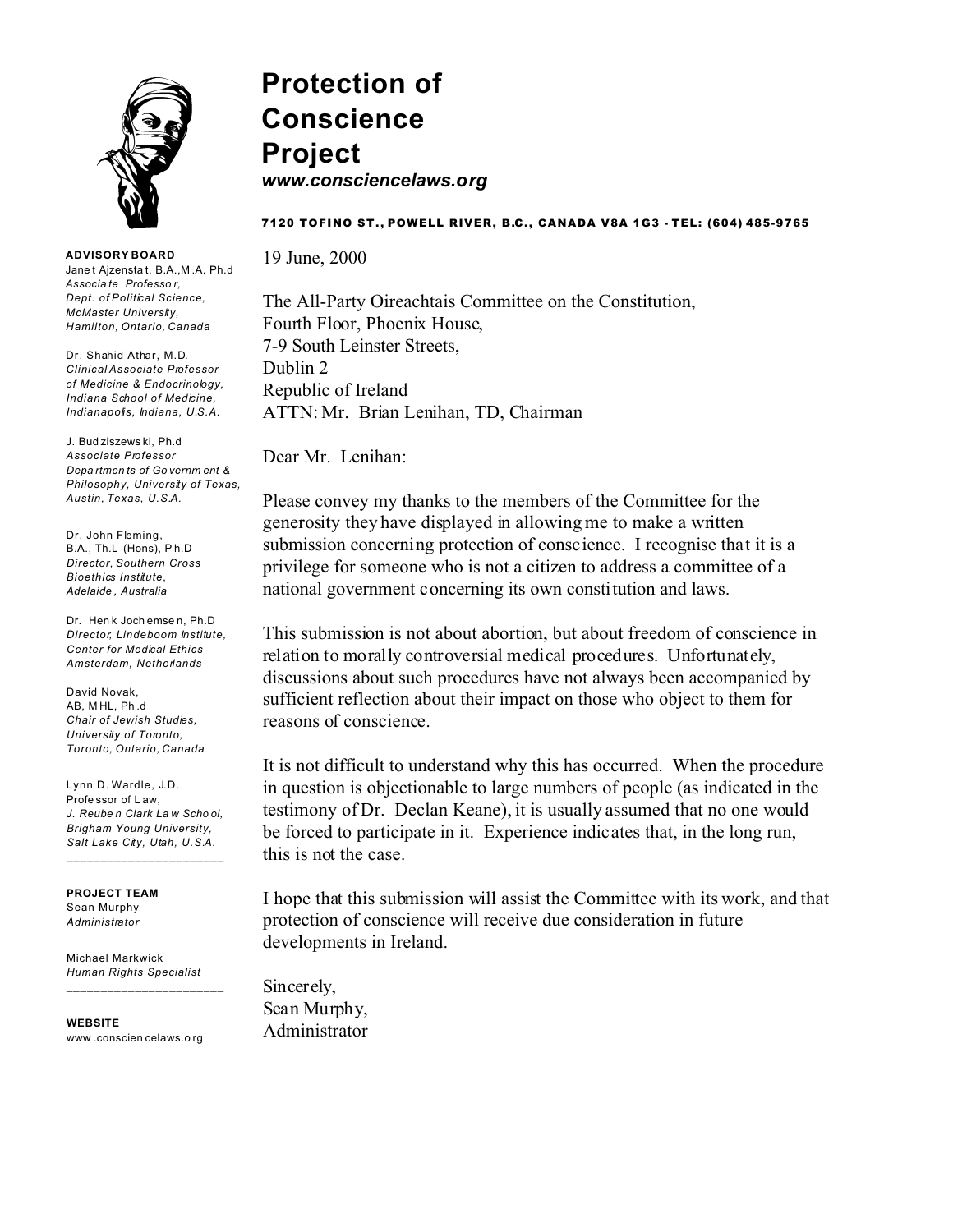

## **Protection of Conscience Project** *www.consciencelaws.org*

#### 7120 TOFINO ST., POWELL RIVER, B.C., CANADA V8A 1G3 - TEL: (604) 485-9765

19 June, 2000

The All-Party Oireachtais Committee on the Constitution, Fourth Floor, Phoenix House, 7-9 South Leinster Streets, Dublin 2 Republic of Ireland ATTN: Mr. Brian Lenihan, TD, Chairman

Dear Mr. Lenihan:

Please convey my thanks to the members of the Committee for the generosity they have displayed in allowing me to make a written submission concerning protection of conscience. I recognise that it is a privilege for someone who is not a citizen to address a committee of a national government concerning its own constitution and laws.

This submission is not about abortion, but about freedom of conscience in relation to morally controversial medical procedures. Unfortunately, discussions about such procedures have not always been accompanied by sufficient reflection about their impact on those who object to them for reasons of conscience.

It is not difficult to understand why this has occurred. When the procedure in question is objectionable to large numbers of people (as indicated in the testimony of Dr. Declan Keane), it is usually assumed that no one would be forced to participate in it. Experience indicates that, in the long run, this is not the case.

I hope that this submission will assist the Committee with its work, and that protection of conscience will receive due consideration in future developments in Ireland.

Sincerely, Sean Murphy, Administrator

**ADVISORY BOARD**

Jane t Ajzensta t, B.A.,M .A. Ph.d *Associa te Professo r, Dept. of Political Science, McMaster University, Hamilton, Ontario, Canada*

Dr. Shahid Athar, M.D. *Clinical Associate Professor of Medicine & Endocrinology, Indiana School of Medicine, Indianapolis, Indiana, U.S.A.*

J. Bud ziszews ki, Ph.d *Associate Professor Depa rtmen ts of Go vernm ent & Philosophy, University of Texas, Austin, Texas, U.S.A.*

Dr. John Fleming. B.A., Th.L (Hons), P h.D *Director, Southern Cross Bioethics Institute, Adelaide , Australia*

Dr. Hen k Joch emse n, Ph.D *Director, Lindeboom Institute, Center for Medical Ethics Amsterdam, Netherlands*

David Novak, AB, M HL, Ph .d *Chair of Jewish Studies, University of Toronto, Toronto, Ontario, Canada*

Lynn D. Wardle, J.D. Profe ssor of L aw, *J. Reube n Clark La w Scho ol, Brigham Young University, Salt Lake City, Utah, U.S.A.*

\_\_\_\_\_\_\_\_\_\_\_\_\_\_\_\_\_\_\_\_\_\_\_

**PROJECT TEAM** Sean Murphy *Administrator*

Michael Markwick *Human Rights Specialist*

\_\_\_\_\_\_\_\_\_\_\_\_\_\_\_\_\_\_\_\_\_\_\_

**WEBSITE** www .conscien celaws.o rg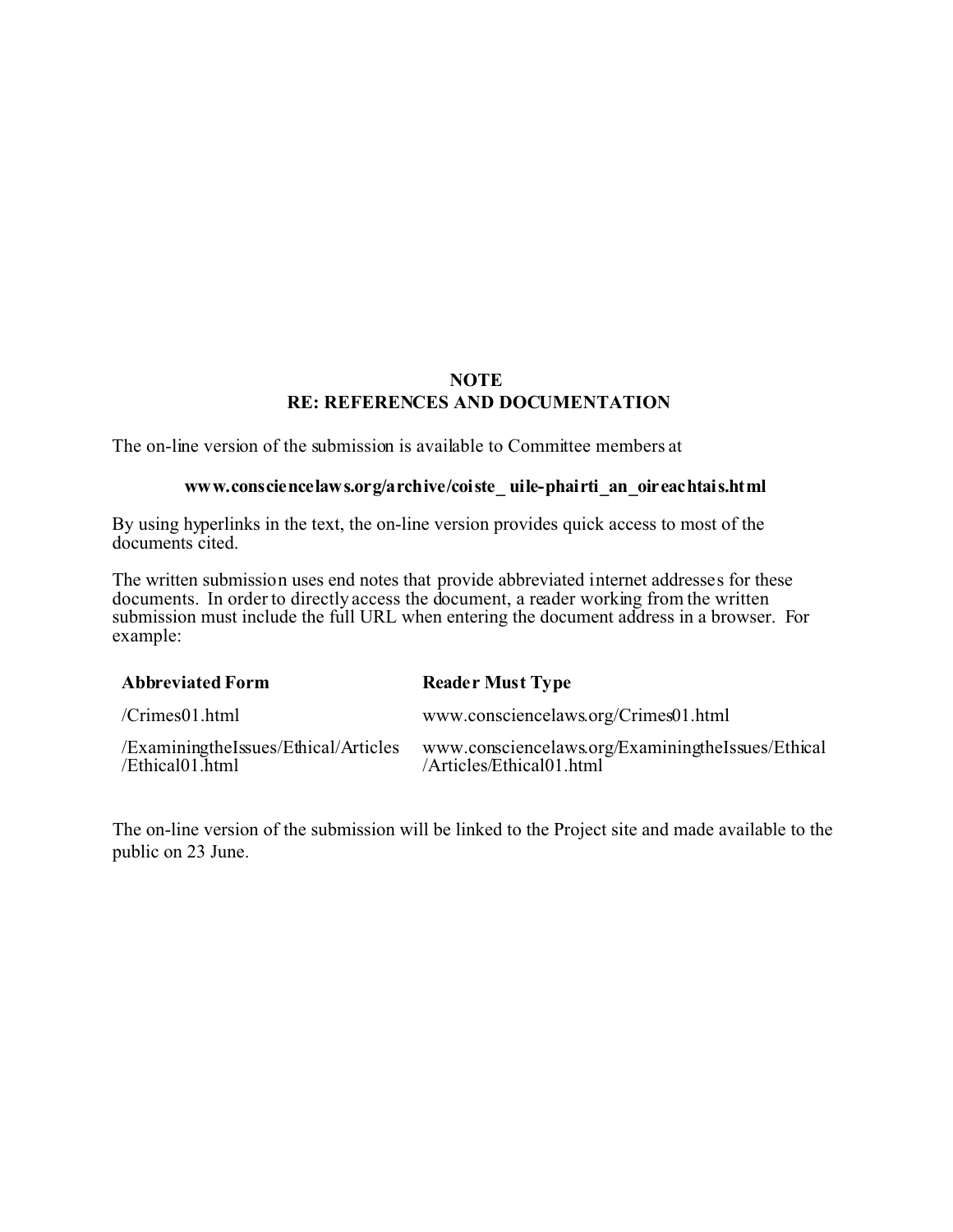## **NOTE RE: REFERENCES AND DOCUMENTATION**

The on-line version of the submission is available to Committee members at

#### **www.consciencelaws.org/archive/coiste\_ uile-phairti\_an\_oireachtais.html**

By using hyperlinks in the text, the on-line version provides quick access to most of the documents cited.

The written submission uses end notes that provide abbreviated internet addresses for these documents. In order to directly access the document, a reader working from the written submission must include the full URL when entering the document address in a browser. For example:

| <b>Abbreviated Form</b>                                 | <b>Reader Must Type</b>                                                       |
|---------------------------------------------------------|-------------------------------------------------------------------------------|
| /Crimes01.html                                          | www.consciencelaws.org/Crimes01.html                                          |
| /ExaminingtheIssues/Ethical/Articles<br>/Ethical01.html | www.consciencelaws.org/ExaminingtheIssues/Ethical<br>/Articles/Ethical01.html |

The on-line version of the submission will be linked to the Project site and made available to the public on 23 June.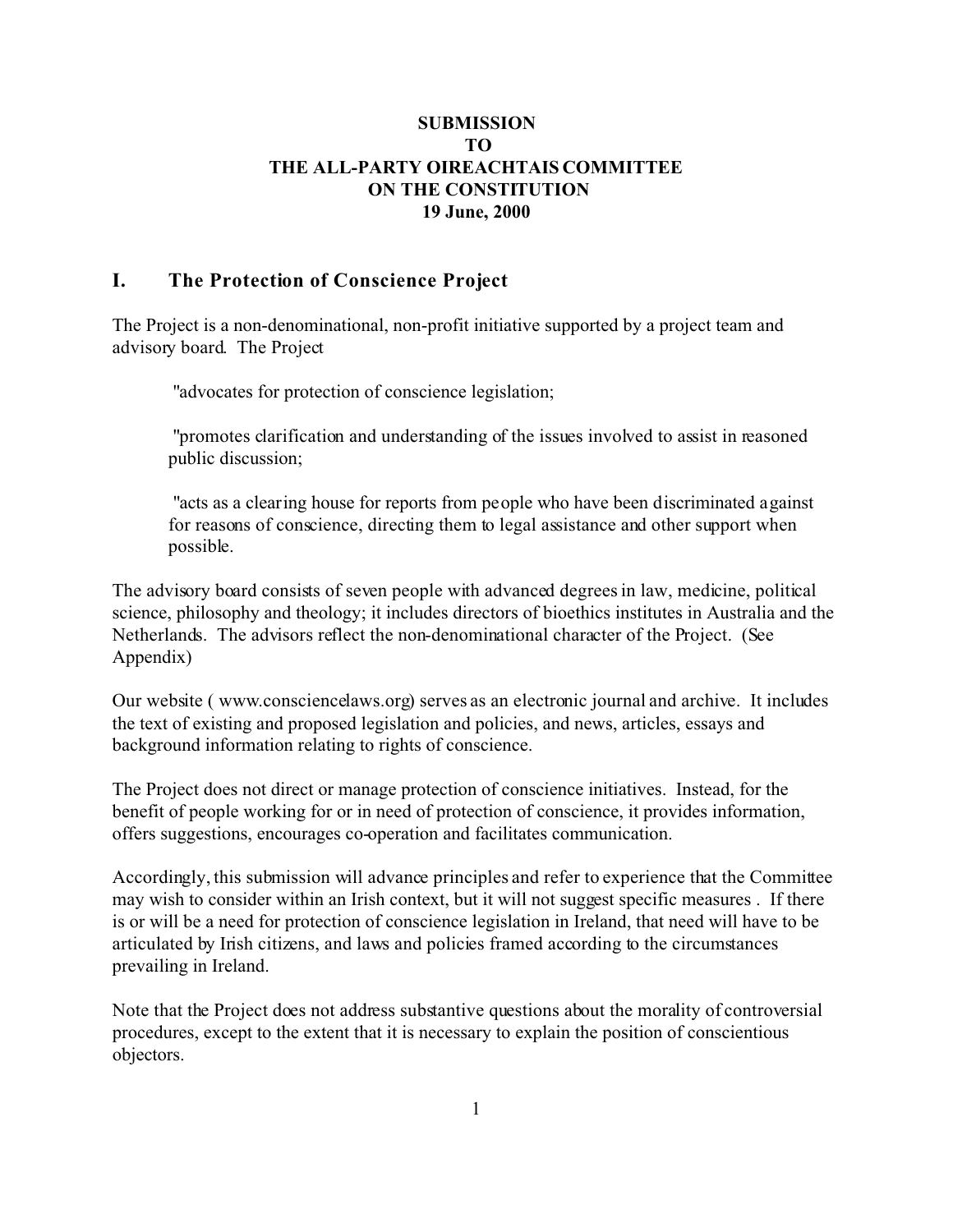## **SUBMISSION TO THE ALL-PARTY OIREACHTAIS COMMITTEE ON THE CONSTITUTION 19 June, 2000**

## **I. The Protection of Conscience Project**

The Project is a non-denominational, non-profit initiative supported by a project team and advisory board. The Project

" advocates for protection of conscience legislation;

"promotes clarification and understanding of the issues involved to assist in reasoned public discussion;

" acts as a clearing house for reports from people who have been discriminated against for reasons of conscience, directing them to legal assistance and other support when possible.

The advisory board consists of seven people with advanced degrees in law, medicine, political science, philosophy and theology; it includes directors of bioethics institutes in Australia and the Netherlands. The advisors reflect the non-denominational character of the Project. (See Appendix)

Our website ( www.consciencelaws.org) serves as an electronic journal and archive. It includes the text of existing and proposed legislation and policies, and news, articles, essays and background information relating to rights of conscience.

The Project does not direct or manage protection of conscience initiatives. Instead, for the benefit of people working for or in need of protection of conscience, it provides information, offers suggestions, encourages co-operation and facilitates communication.

Accordingly, this submission will advance principles and refer to experience that the Committee may wish to consider within an Irish context, but it will not suggest specific measures . If there is or will be a need for protection of conscience legislation in Ireland, that need will have to be articulated by Irish citizens, and laws and policies framed according to the circumstances prevailing in Ireland.

Note that the Project does not address substantive questions about the morality of controversial procedures, except to the extent that it is necessary to explain the position of conscientious objectors.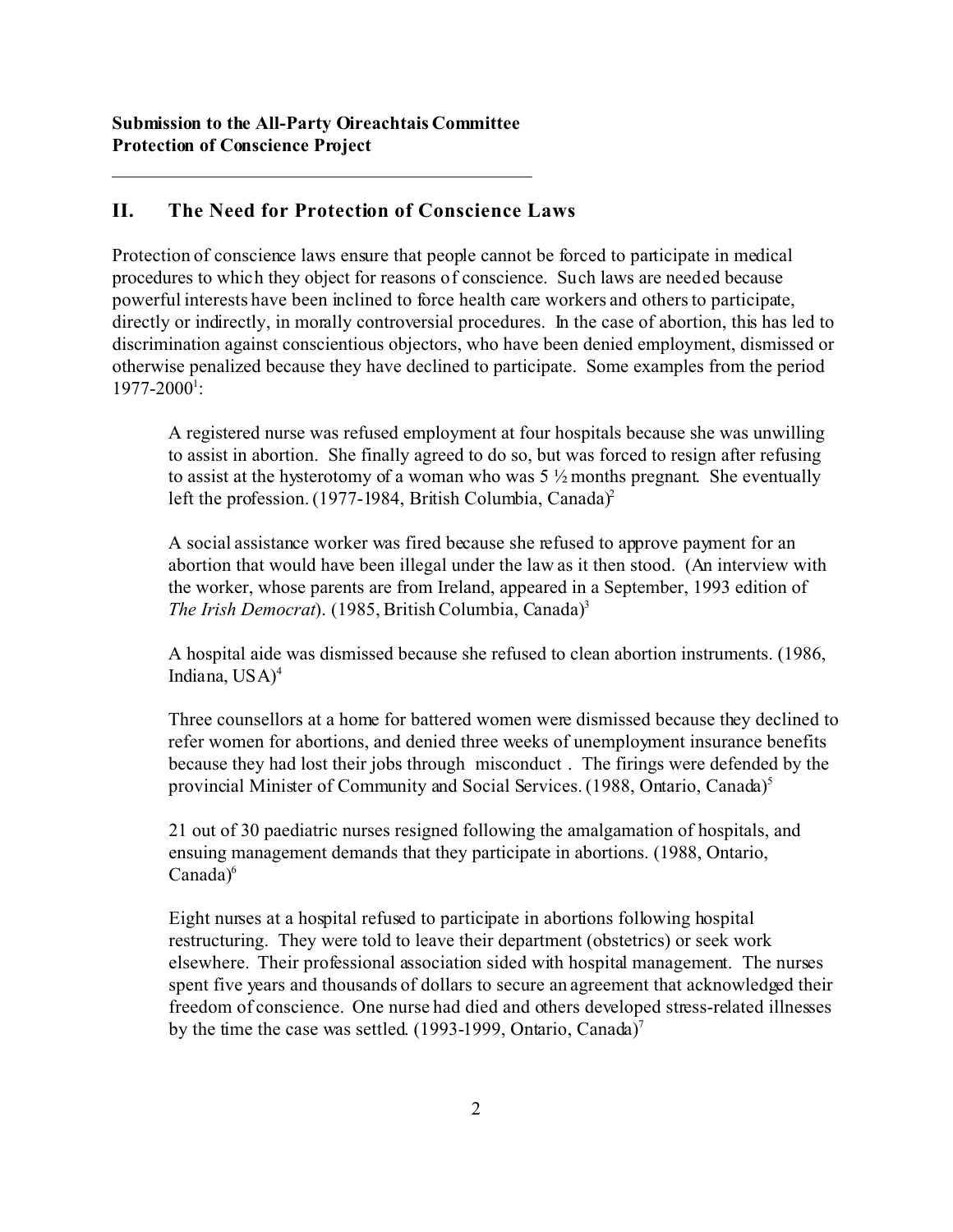## **II. The Need for Protection of Conscience Laws**

Protection of conscience laws ensure that people cannot be forced to participate in medical procedures to which they object for reasons of conscience. Such laws are needed because powerful interests have been inclined to force health care workers and others to participate, directly or indirectly, in morally controversial procedures. In the case of abortion, this has led to discrimination against conscientious objectors, who have been denied employment, dismissed or otherwise penalized because they have declined to participate. Some examples from the period 1977-2000<sup>1</sup>:

A registered nurse was refused employment at four hospitals because she was unwilling to assist in abortion. She finally agreed to do so, but was forced to resign after refusing to assist at the hysterotomy of a woman who was  $5\frac{1}{2}$  months pregnant. She eventually left the profession. (1977-1984, British Columbia, Canada)<sup>2</sup>

A social assistance worker was fired because she refused to approve payment for an abortion that would have been illegal under the law as it then stood. (An interview with the worker, whose parents are from Ireland, appeared in a September, 1993 edition of *The Irish Democrat*). (1985, British Columbia, Canada)<sup>3</sup>

A hospital aide was dismissed because she refused to clean abortion instruments. (1986, Indiana,  $USA)^4$ 

Three counsellors at a home for battered women were dismissed because they declined to refer women for abortions, and denied three weeks of unemployment insurance benefits because they had lost their jobs through misconduct . The firings were defended by the provincial Minister of Community and Social Services. (1988, Ontario, Canada)<sup>5</sup>

21 out of 30 paediatric nurses resigned following the amalgamation of hospitals, and ensuing management demands that they participate in abortions. (1988, Ontario,  $Canada)^6$ 

Eight nurses at a hospital refused to participate in abortions following hospital restructuring. They were told to leave their department (obstetrics) or seek work elsewhere. Their professional association sided with hospital management. The nurses spent five years and thousands of dollars to secure an agreement that acknowledged their freedom of conscience. One nurse had died and others developed stress-related illnesses by the time the case was settled. (1993-1999, Ontario, Canada)<sup>7</sup>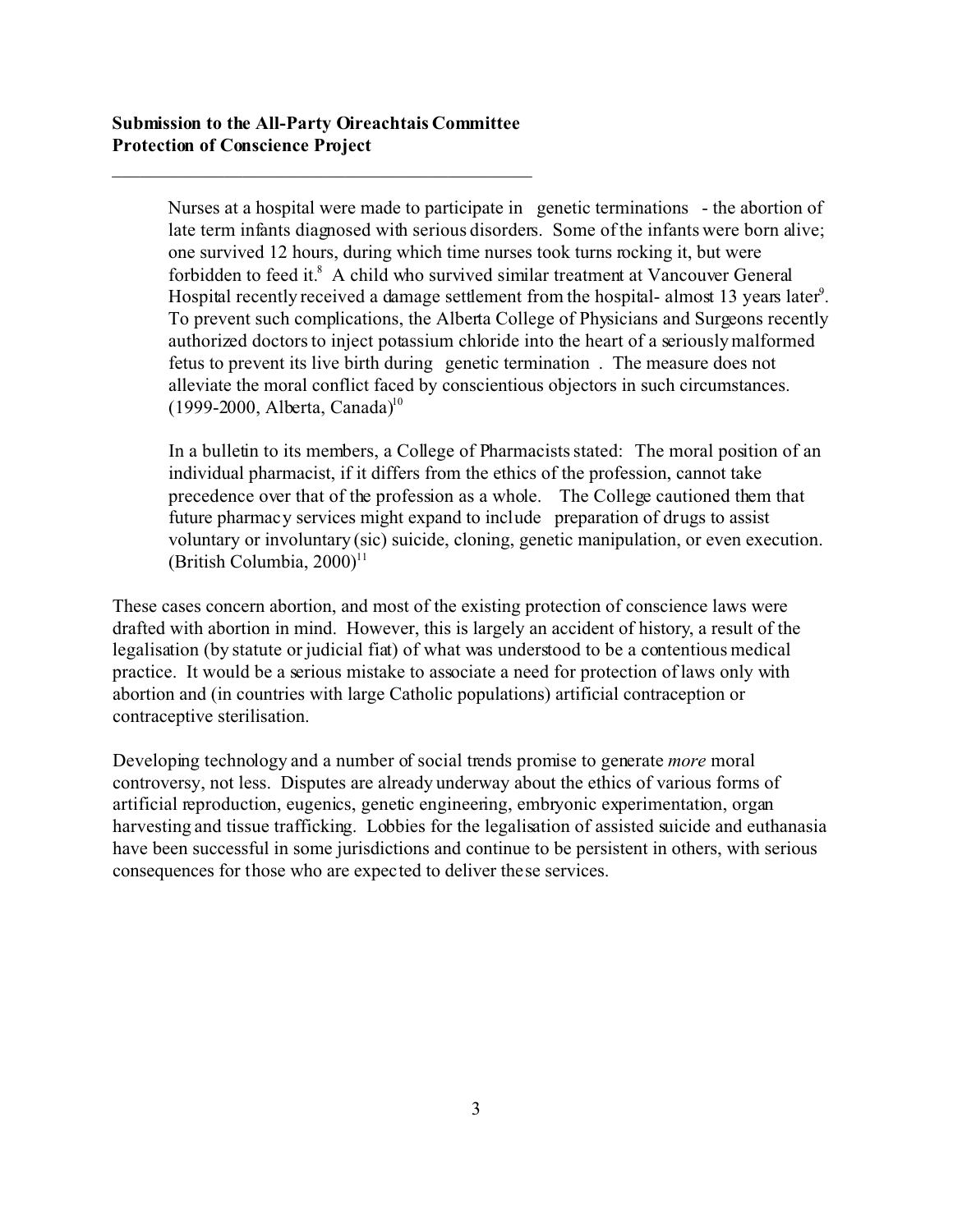Nurses at a hospital were made to participate in genetic terminations - the abortion of late term infants diagnosed with serious disorders. Some of the infants were born alive; one survived 12 hours, during which time nurses took turns rocking it, but were forbidden to feed it.<sup>8</sup> A child who survived similar treatment at Vancouver General Hospital recently received a damage settlement from the hospital-almost 13 years later<sup>9</sup>. To prevent such complications, the Alberta College of Physicians and Surgeons recently authorized doctors to inject potassium chloride into the heart of a seriously malformed fetus to prevent its live birth during genetic termination . The measure does not alleviate the moral conflict faced by conscientious objectors in such circumstances.  $(1999-2000,$  Alberta, Canada)<sup>10</sup>

In a bulletin to its members, a College of Pharmacists stated: The moral position of an individual pharmacist, if it differs from the ethics of the profession, cannot take precedence over that of the profession as a whole. The College cautioned them that future pharmacy services might expand to include preparation of drugs to assist voluntary or involuntary (sic) suicide, cloning, genetic manipulation, or even execution. (British Columbia,  $2000$ )<sup>11</sup>

These cases concern abortion, and most of the existing protection of conscience laws were drafted with abortion in mind. However, this is largely an accident of history, a result of the legalisation (by statute or judicial fiat) of what was understood to be a contentious medical practice. It would be a serious mistake to associate a need for protection of laws only with abortion and (in countries with large Catholic populations) artificial contraception or contraceptive sterilisation.

Developing technology and a number of social trends promise to generate *more* moral controversy, not less. Disputes are already underway about the ethics of various forms of artificial reproduction, eugenics, genetic engineering, embryonic experimentation, organ harvesting and tissue trafficking. Lobbies for the legalisation of assisted suicide and euthanasia have been successful in some jurisdictions and continue to be persistent in others, with serious consequences for those who are expected to deliver these services.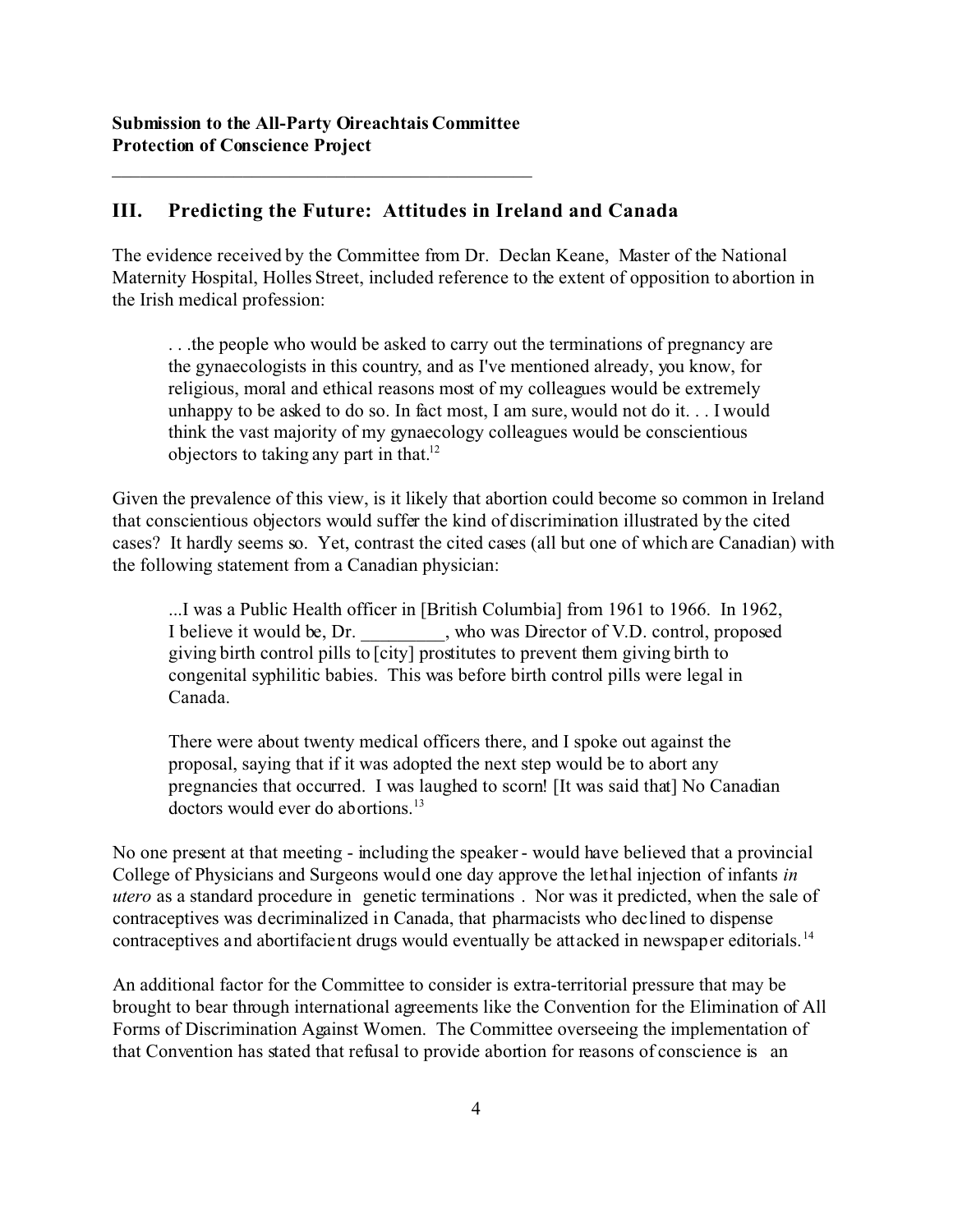## **III. Predicting the Future: Attitudes in Ireland and Canada**

The evidence received by the Committee from Dr. Declan Keane, Master of the National Maternity Hospital, Holles Street, included reference to the extent of opposition to abortion in the Irish medical profession:

. . .the people who would be asked to carry out the terminations of pregnancy are the gynaecologists in this country, and as I've mentioned already, you know, for religious, moral and ethical reasons most of my colleagues would be extremely unhappy to be asked to do so. In fact most, I am sure, would not do it. . . I would think the vast majority of my gynaecology colleagues would be conscientious objectors to taking any part in that.<sup>12</sup>

Given the prevalence of this view, is it likely that abortion could become so common in Ireland that conscientious objectors would suffer the kind of discrimination illustrated by the cited cases? It hardly seems so. Yet, contrast the cited cases (all but one of which are Canadian) with the following statement from a Canadian physician:

...I was a Public Health officer in [British Columbia] from 1961 to 1966. In 1962, I believe it would be, Dr. \_\_\_\_\_\_\_\_\_, who was Director of V.D. control, proposed giving birth control pills to  $\overline{c}$  city] prostitutes to prevent them giving birth to congenital syphilitic babies. This was before birth control pills were legal in Canada.

There were about twenty medical officers there, and I spoke out against the proposal, saying that if it was adopted the next step would be to abort any pregnancies that occurred. I was laughed to scorn! [It was said that] No Canadian doctors would ever do abortions.<sup>13</sup>

No one present at that meeting - including the speaker - would have believed that a provincial College of Physicians and Surgeons would one day approve the lethal injection of infants *in utero* as a standard procedure in genetic terminations . Nor was it predicted, when the sale of contraceptives was decriminalized in Canada, that pharmacists who declined to dispense contraceptives and abortifacient drugs would eventually be attacked in newspaper editorials.<sup>14</sup>

An additional factor for the Committee to consider is extra-territorial pressure that may be brought to bear through international agreements like the Convention for the Elimination of All Forms of Discrimination Against Women. The Committee overseeing the implementation of that Convention has stated that refusal to provide abortion for reasons of conscience is an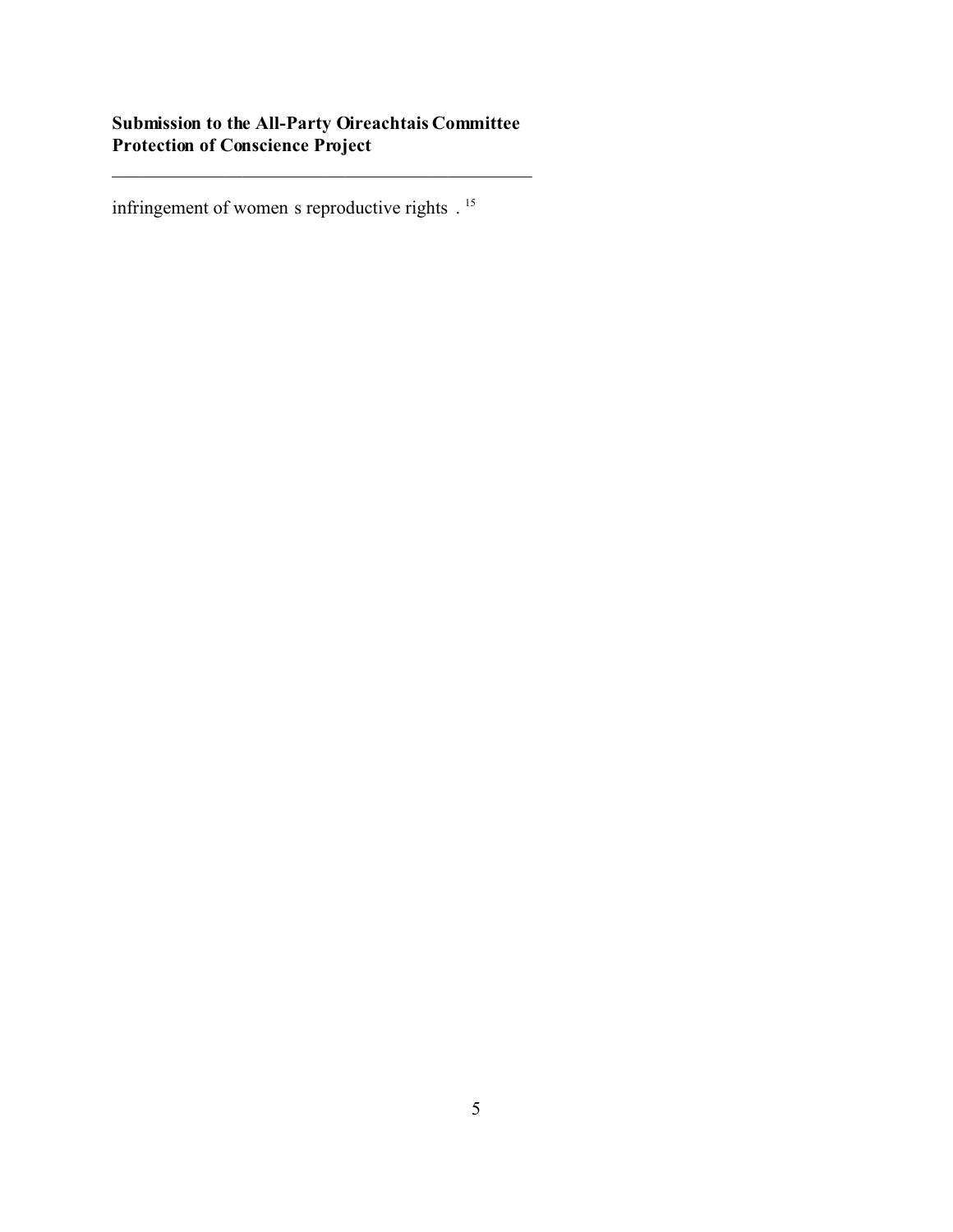\_\_\_\_\_\_\_\_\_\_\_\_\_\_\_\_\_\_\_\_\_\_\_\_\_\_\_\_\_\_\_\_\_\_\_\_\_\_\_\_\_\_\_\_\_

infringement of women s reproductive rights .<sup>15</sup>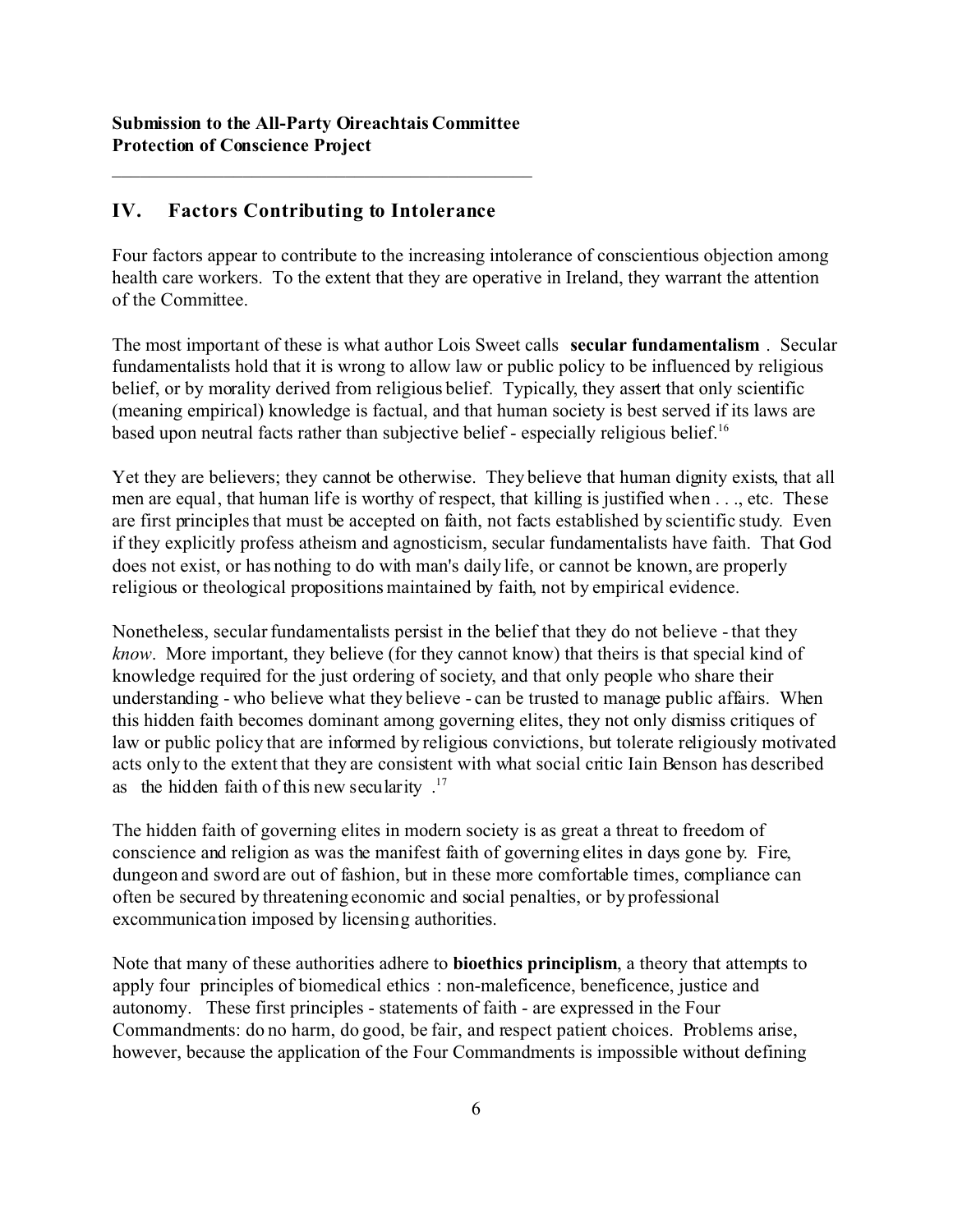## **IV. Factors Contributing to Intolerance**

Four factors appear to contribute to the increasing intolerance of conscientious objection among health care workers. To the extent that they are operative in Ireland, they warrant the attention of the Committee.

The most important of these is what author Lois Sweet calls **secular fundamentalism** . Secular fundamentalists hold that it is wrong to allow law or public policy to be influenced by religious belief, or by morality derived from religious belief. Typically, they assert that only scientific (meaning empirical) knowledge is factual, and that human society is best served if its laws are based upon neutral facts rather than subjective belief - especially religious belief.<sup>16</sup>

Yet they are believers; they cannot be otherwise. They believe that human dignity exists, that all men are equal, that human life is worthy of respect, that killing is justified when . . ., etc. These are first principles that must be accepted on faith, not facts established by scientific study. Even if they explicitly profess atheism and agnosticism, secular fundamentalists have faith. That God does not exist, or has nothing to do with man's daily life, or cannot be known, are properly religious or theological propositions maintained by faith, not by empirical evidence.

Nonetheless, secular fundamentalists persist in the belief that they do not believe - that they *know*. More important, they believe (for they cannot know) that theirs is that special kind of knowledge required for the just ordering of society, and that only people who share their understanding - who believe what they believe - can be trusted to manage public affairs. When this hidden faith becomes dominant among governing elites, they not only dismiss critiques of law or public policy that are informed by religious convictions, but tolerate religiously motivated acts only to the extent that they are consistent with what social critic Iain Benson has described as the hidden faith of this new secularity  $.17$ 

The hidden faith of governing elites in modern society is as great a threat to freedom of conscience and religion as was the manifest faith of governing elites in days gone by. Fire, dungeon and sword are out of fashion, but in these more comfortable times, compliance can often be secured by threatening economic and social penalties, or by professional excommunication imposed by licensing authorities.

Note that many of these authorities adhere to **bioethics principlism**, a theory that attempts to apply four principles of biomedical ethics : non-maleficence, beneficence, justice and autonomy. These first principles - statements of faith - are expressed in the Four Commandments: do no harm, do good, be fair, and respect patient choices. Problems arise, however, because the application of the Four Commandments is impossible without defining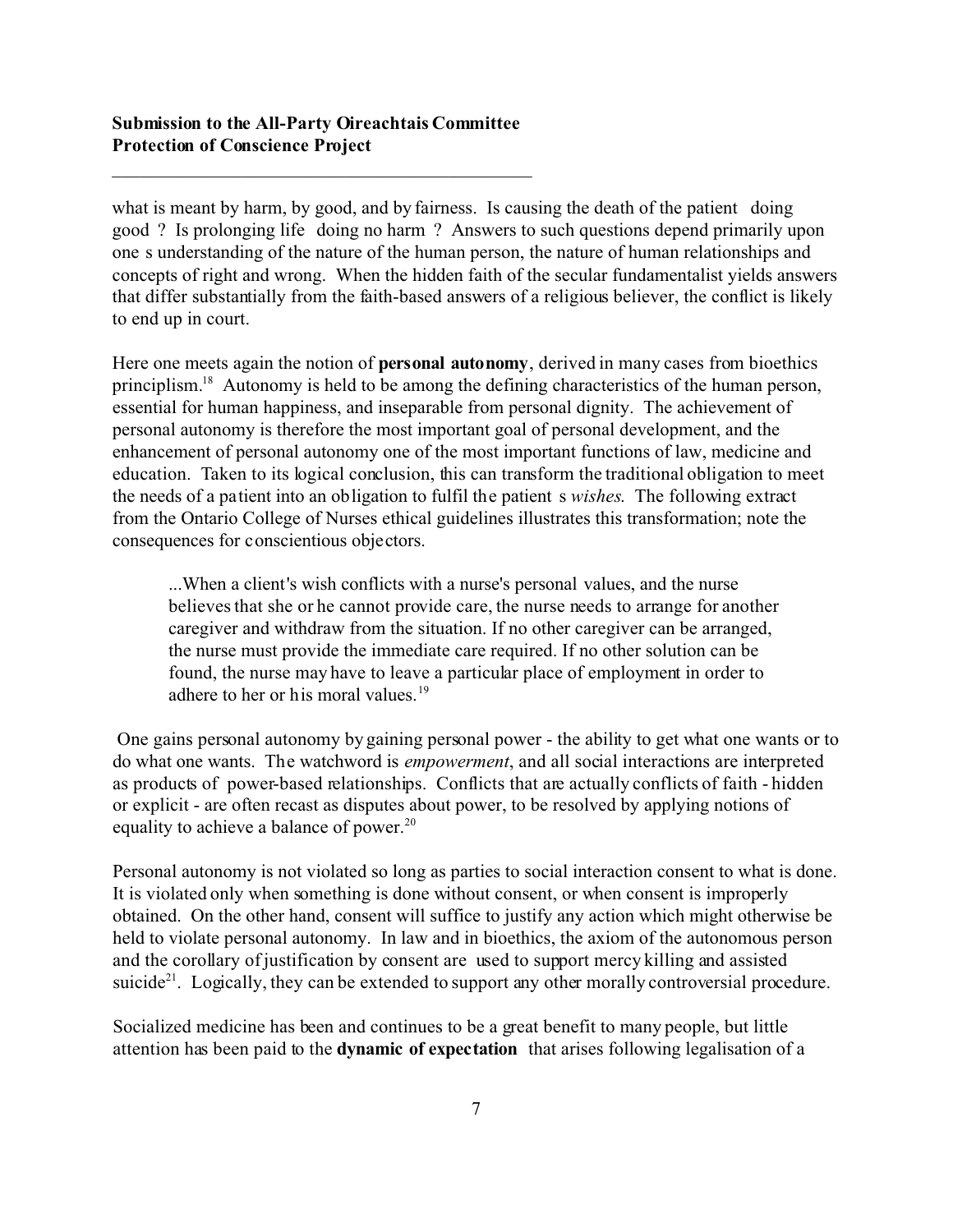\_\_\_\_\_\_\_\_\_\_\_\_\_\_\_\_\_\_\_\_\_\_\_\_\_\_\_\_\_\_\_\_\_\_\_\_\_\_\_\_\_\_\_\_\_

what is meant by harm, by good, and by fairness. Is causing the death of the patient doing good ? Is prolonging life doing no harm ? Answers to such questions depend primarily upon one s understanding of the nature of the human person, the nature of human relationships and concepts of right and wrong. When the hidden faith of the secular fundamentalist yields answers that differ substantially from the faith-based answers of a religious believer, the conflict is likely to end up in court.

Here one meets again the notion of **personal autonomy**, derived in many cases from bioethics principlism.<sup>18</sup> Autonomy is held to be among the defining characteristics of the human person, essential for human happiness, and inseparable from personal dignity. The achievement of personal autonomy is therefore the most important goal of personal development, and the enhancement of personal autonomy one of the most important functions of law, medicine and education. Taken to its logical conclusion, this can transform the traditional obligation to meet the needs of a patient into an obligation to fulfil the patient s *wishes*. The following extract from the Ontario College of Nurses ethical guidelines illustrates this transformation; note the consequences for conscientious objectors.

...When a client's wish conflicts with a nurse's personal values, and the nurse believes that she or he cannot provide care, the nurse needs to arrange for another caregiver and withdraw from the situation. If no other caregiver can be arranged, the nurse must provide the immediate care required. If no other solution can be found, the nurse may have to leave a particular place of employment in order to adhere to her or his moral values.<sup>19</sup>

 One gains personal autonomy by gaining personal power - the ability to get what one wants or to do what one wants. The watchword is *empowerment*, and all social interactions are interpreted as products of power-based relationships. Conflicts that are actually conflicts of faith - hidden or explicit - are often recast as disputes about power, to be resolved by applying notions of equality to achieve a balance of power.<sup>20</sup>

Personal autonomy is not violated so long as parties to social interaction consent to what is done. It is violated only when something is done without consent, or when consent is improperly obtained. On the other hand, consent will suffice to justify any action which might otherwise be held to violate personal autonomy. In law and in bioethics, the axiom of the autonomous person and the corollary of justification by consent are used to support mercy killing and assisted suicide<sup>21</sup>. Logically, they can be extended to support any other morally controversial procedure.

Socialized medicine has been and continues to be a great benefit to many people, but little attention has been paid to the **dynamic of expectation** that arises following legalisation of a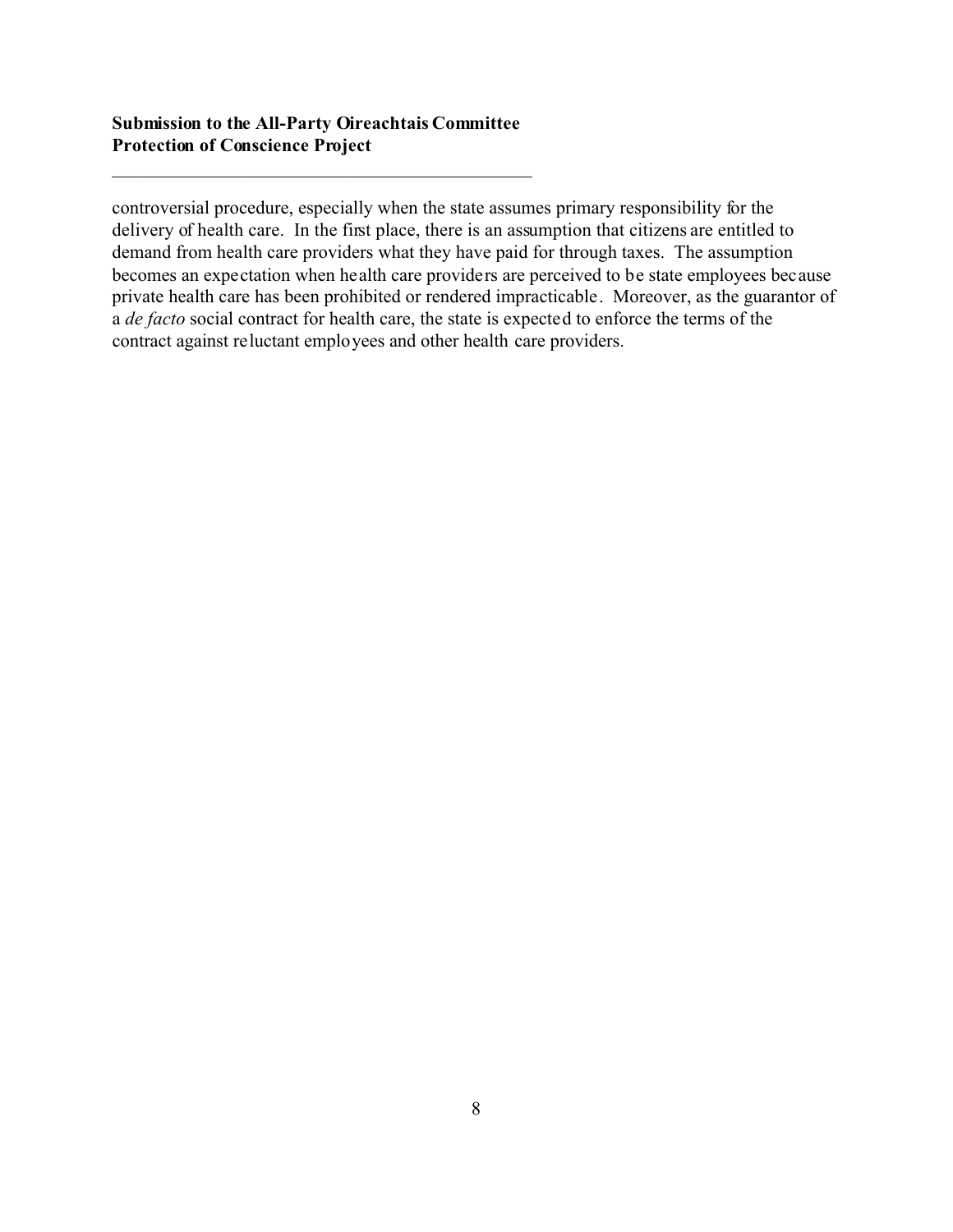\_\_\_\_\_\_\_\_\_\_\_\_\_\_\_\_\_\_\_\_\_\_\_\_\_\_\_\_\_\_\_\_\_\_\_\_\_\_\_\_\_\_\_\_\_

controversial procedure, especially when the state assumes primary responsibility for the delivery of health care. In the first place, there is an assumption that citizens are entitled to demand from health care providers what they have paid for through taxes. The assumption becomes an expectation when health care providers are perceived to be state employees because private health care has been prohibited or rendered impracticable. Moreover, as the guarantor of a *de facto* social contract for health care, the state is expected to enforce the terms of the contract against reluctant employees and other health care providers.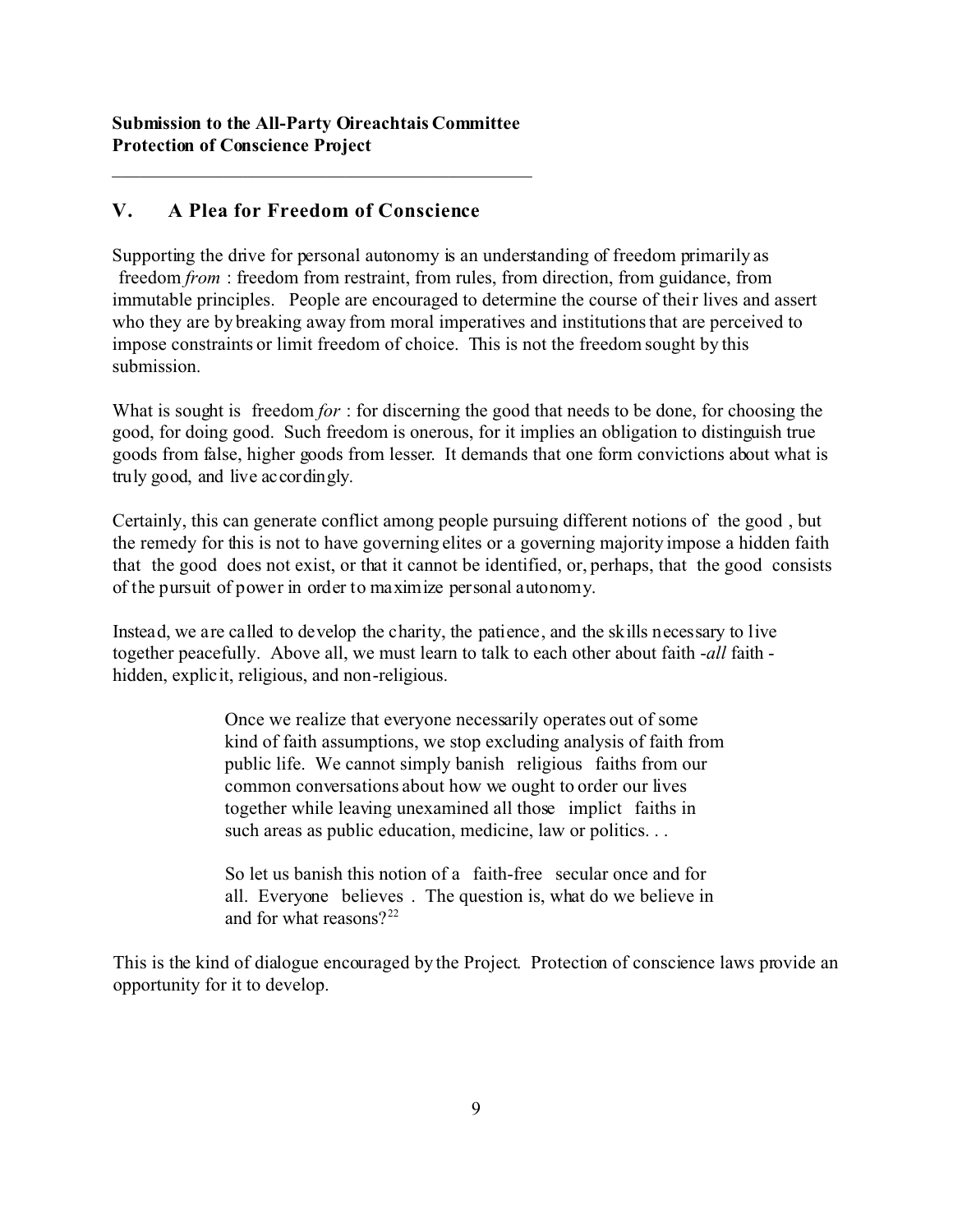## **V. A Plea for Freedom of Conscience**

Supporting the drive for personal autonomy is an understanding of freedom primarily as freedom *from* : freedom from restraint, from rules, from direction, from guidance, from immutable principles. People are encouraged to determine the course of their lives and assert who they are by breaking away from moral imperatives and institutions that are perceived to impose constraints or limit freedom of choice. This is not the freedom sought by this submission.

What is sought is freedom *for*: for discerning the good that needs to be done, for choosing the good, for doing good. Such freedom is onerous, for it implies an obligation to distinguish true goods from false, higher goods from lesser. It demands that one form convictions about what is truly good, and live accordingly.

Certainly, this can generate conflict among people pursuing different notions of the good , but the remedy for this is not to have governing elites or a governing majority impose a hidden faith that the good does not exist, or that it cannot be identified, or, perhaps, that the good consists of the pursuit of power in order to maximize personal autonomy.

Instead, we are called to develop the charity, the patience, and the skills necessary to live together peacefully. Above all, we must learn to talk to each other about faith -*all* faith hidden, explicit, religious, and non-religious.

> Once we realize that everyone necessarily operates out of some kind of faith assumptions, we stop excluding analysis of faith from public life. We cannot simply banish religious faiths from our common conversations about how we ought to order our lives together while leaving unexamined all those implict faiths in such areas as public education, medicine, law or politics. . .

So let us banish this notion of a faith-free secular once and for all. Everyone believes . The question is, what do we believe in and for what reasons? $2^{22}$ 

This is the kind of dialogue encouraged by the Project. Protection of conscience laws provide an opportunity for it to develop.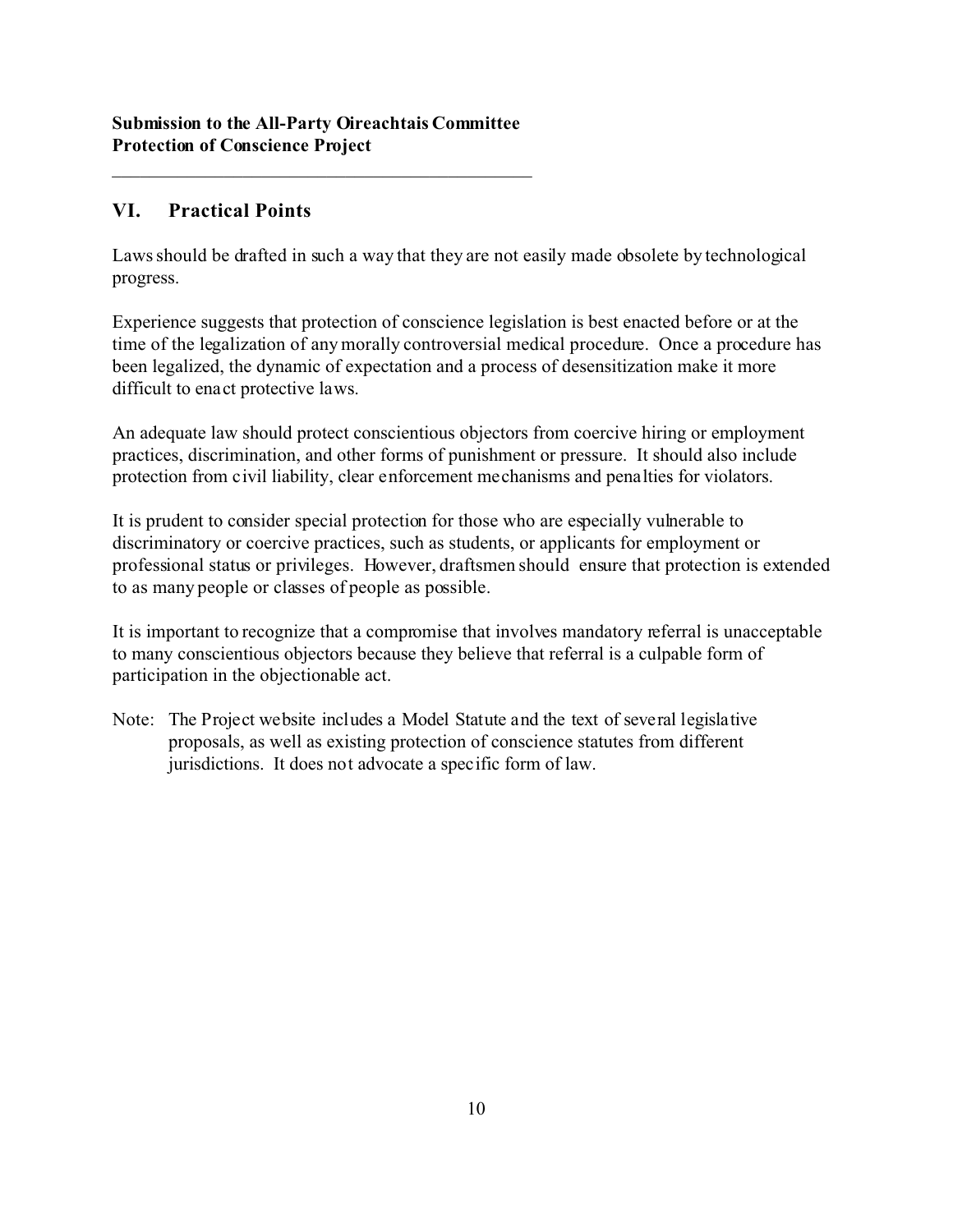\_\_\_\_\_\_\_\_\_\_\_\_\_\_\_\_\_\_\_\_\_\_\_\_\_\_\_\_\_\_\_\_\_\_\_\_\_\_\_\_\_\_\_\_\_

## **VI. Practical Points**

Laws should be drafted in such a way that they are not easily made obsolete by technological progress.

Experience suggests that protection of conscience legislation is best enacted before or at the time of the legalization of any morally controversial medical procedure. Once a procedure has been legalized, the dynamic of expectation and a process of desensitization make it more difficult to enact protective laws.

An adequate law should protect conscientious objectors from coercive hiring or employment practices, discrimination, and other forms of punishment or pressure. It should also include protection from civil liability, clear enforcement mechanisms and penalties for violators.

It is prudent to consider special protection for those who are especially vulnerable to discriminatory or coercive practices, such as students, or applicants for employment or professional status or privileges. However, draftsmen should ensure that protection is extended to as many people or classes of people as possible.

It is important to recognize that a compromise that involves mandatory referral is unacceptable to many conscientious objectors because they believe that referral is a culpable form of participation in the objectionable act.

Note: The Project website includes a Model Statute and the text of several legislative proposals, as well as existing protection of conscience statutes from different jurisdictions. It does not advocate a specific form of law.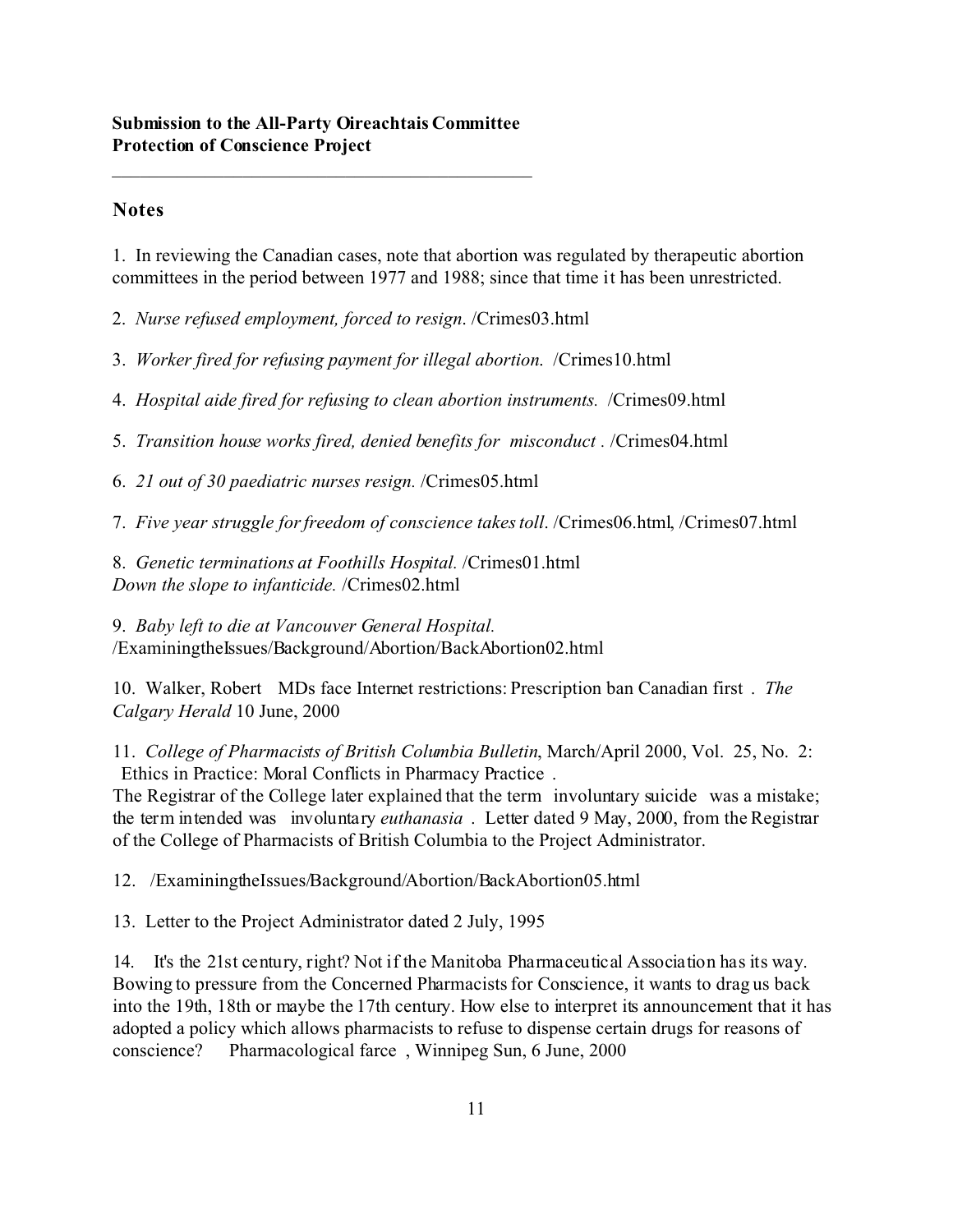## **Notes**

1. In reviewing the Canadian cases, note that abortion was regulated by therapeutic abortion committees in the period between 1977 and 1988; since that time it has been unrestricted.

2. *Nurse refused employment, forced to resign*. /Crimes03.html

3. *Worker fired for refusing payment for illegal abortion*. /Crimes10.html

4. *Hospital aide fired for refusing to clean abortion instruments.* /Crimes09.html

5. *Transition house works fired, denied benefits for misconduct .* /Crimes04.html

6. *21 out of 30 paediatric nurses resign.* /Crimes05.html

7. *Five year struggle for freedom of conscience takes toll*. /Crimes06.html, /Crimes07.html

8. *Genetic terminations at Foothills Hospital.* /Crimes01.html *Down the slope to infanticide.* /Crimes02.html

9. *Baby left to die at Vancouver General Hospital.* /ExaminingtheIssues/Background/Abortion/BackAbortion02.html

10. Walker, Robert MDs face Internet restrictions: Prescription ban Canadian first . *The Calgary Herald* 10 June, 2000

11. *College of Pharmacists of British Columbia Bulletin*, March/April 2000, Vol. 25, No. 2: Ethics in Practice: Moral Conflicts in Pharmacy Practice .

The Registrar of the College later explained that the term involuntary suicide was a mistake; the term intended was involuntary *euthanasia* . Letter dated 9 May, 2000, from the Registrar of the College of Pharmacists of British Columbia to the Project Administrator.

12. /ExaminingtheIssues/Background/Abortion/BackAbortion05.html

13. Letter to the Project Administrator dated 2 July, 1995

14. It's the 21st century, right? Not if the Manitoba Pharmaceutical Association has its way. Bowing to pressure from the Concerned Pharmacists for Conscience, it wants to drag us back into the 19th, 18th or maybe the 17th century. How else to interpret its announcement that it has adopted a policy which allows pharmacists to refuse to dispense certain drugs for reasons of conscience? Pharmacological farce , Winnipeg Sun, 6 June, 2000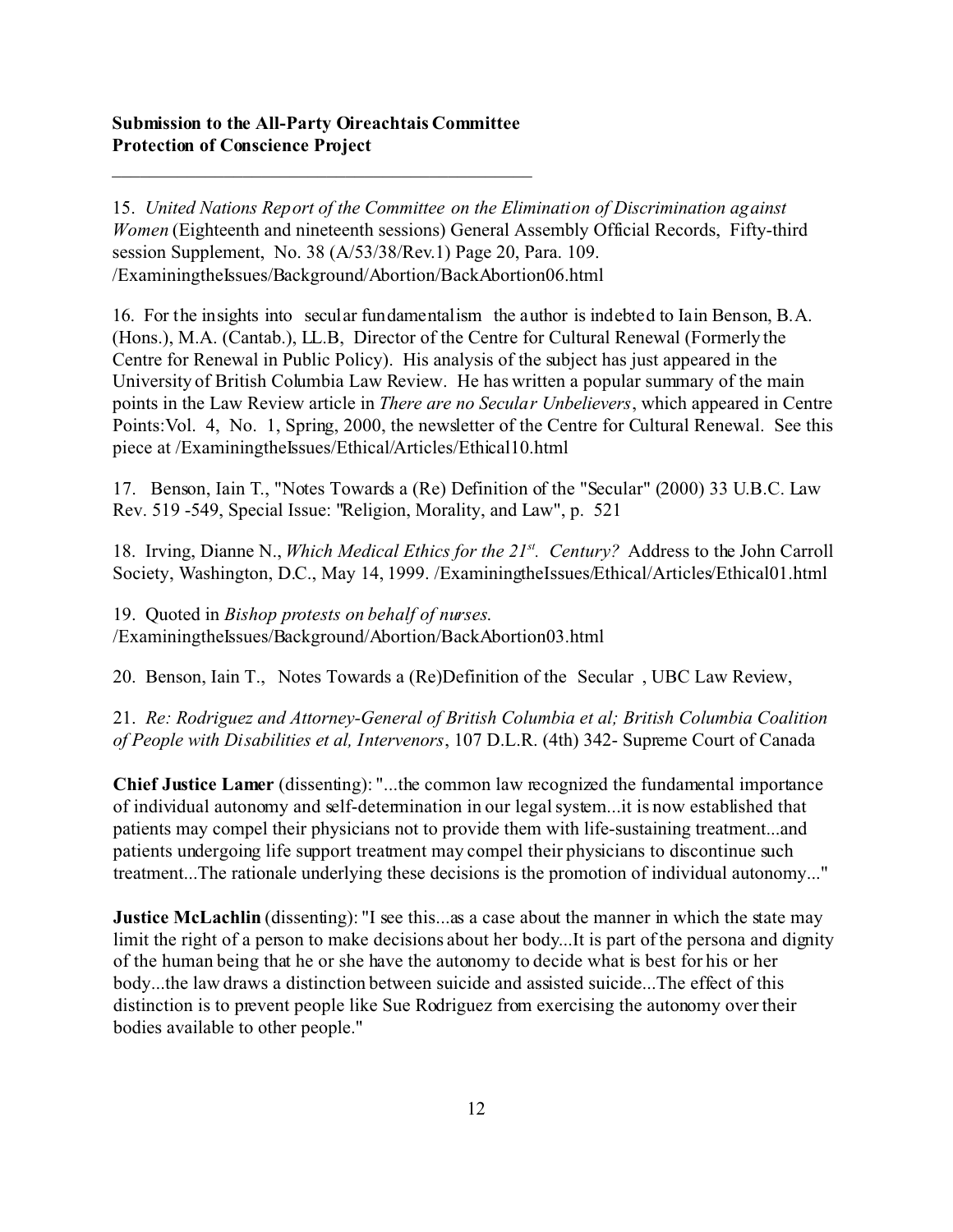\_\_\_\_\_\_\_\_\_\_\_\_\_\_\_\_\_\_\_\_\_\_\_\_\_\_\_\_\_\_\_\_\_\_\_\_\_\_\_\_\_\_\_\_\_

15. *United Nations Report of the Committee on the Elimination of Discrimination against Women* (Eighteenth and nineteenth sessions) General Assembly Official Records, Fifty-third session Supplement, No. 38 (A/53/38/Rev.1) Page 20, Para. 109. /ExaminingtheIssues/Background/Abortion/BackAbortion06.html

16. For the insights into secular fundamentalism the author is indebted to Iain Benson, B.A. (Hons.), M.A. (Cantab.), LL.B, Director of the Centre for Cultural Renewal (Formerly the Centre for Renewal in Public Policy). His analysis of the subject has just appeared in the University of British Columbia Law Review. He has written a popular summary of the main points in the Law Review article in *There are no Secular Unbelievers*, which appeared in Centre Points:Vol. 4, No. 1, Spring, 2000, the newsletter of the Centre for Cultural Renewal. See this piece at /ExaminingtheIssues/Ethical/Articles/Ethical10.html

17. Benson, Iain T., "Notes Towards a (Re) Definition of the "Secular" (2000) 33 U.B.C. Law Rev. 519 -549, Special Issue: "Religion, Morality, and Law", p. 521

18. Irving, Dianne N., *Which Medical Ethics for the 21st. Century?* Address to the John Carroll Society, Washington, D.C., May 14, 1999. /ExaminingtheIssues/Ethical/Articles/Ethical01.html

19. Quoted in *Bishop protests on behalf of nurses*. /ExaminingtheIssues/Background/Abortion/BackAbortion03.html

20. Benson, Iain T., Notes Towards a (Re)Definition of the Secular , UBC Law Review,

21. *Re: Rodriguez and Attorney-General of British Columbia et al; British Columbia Coalition of People with Disabilities et al, Intervenors*, 107 D.L.R. (4th) 342- Supreme Court of Canada

**Chief Justice Lamer** (dissenting): "...the common law recognized the fundamental importance of individual autonomy and self-determination in our legal system...it is now established that patients may compel their physicians not to provide them with life-sustaining treatment...and patients undergoing life support treatment may compel their physicians to discontinue such treatment...The rationale underlying these decisions is the promotion of individual autonomy..."

**Justice McLachlin** (dissenting): "I see this...as a case about the manner in which the state may limit the right of a person to make decisions about her body...It is part of the persona and dignity of the human being that he or she have the autonomy to decide what is best for his or her body...the law draws a distinction between suicide and assisted suicide...The effect of this distinction is to prevent people like Sue Rodriguez from exercising the autonomy over their bodies available to other people."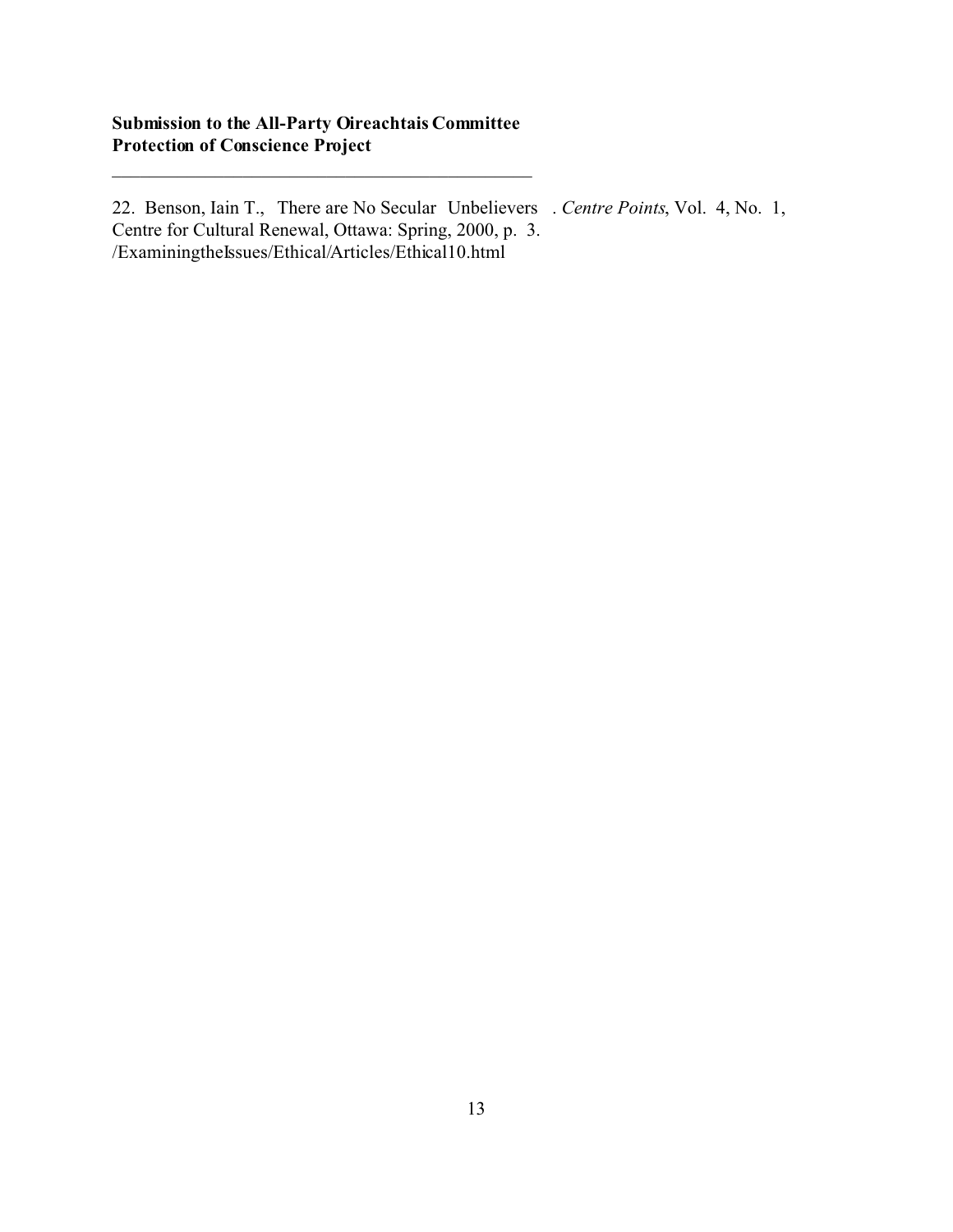\_\_\_\_\_\_\_\_\_\_\_\_\_\_\_\_\_\_\_\_\_\_\_\_\_\_\_\_\_\_\_\_\_\_\_\_\_\_\_\_\_\_\_\_\_

22. Benson, Iain T., There are No Secular Unbelievers . *Centre Points*, Vol. 4, No. 1, Centre for Cultural Renewal, Ottawa: Spring, 2000, p. 3. /ExaminingtheIssues/Ethical/Articles/Ethical10.html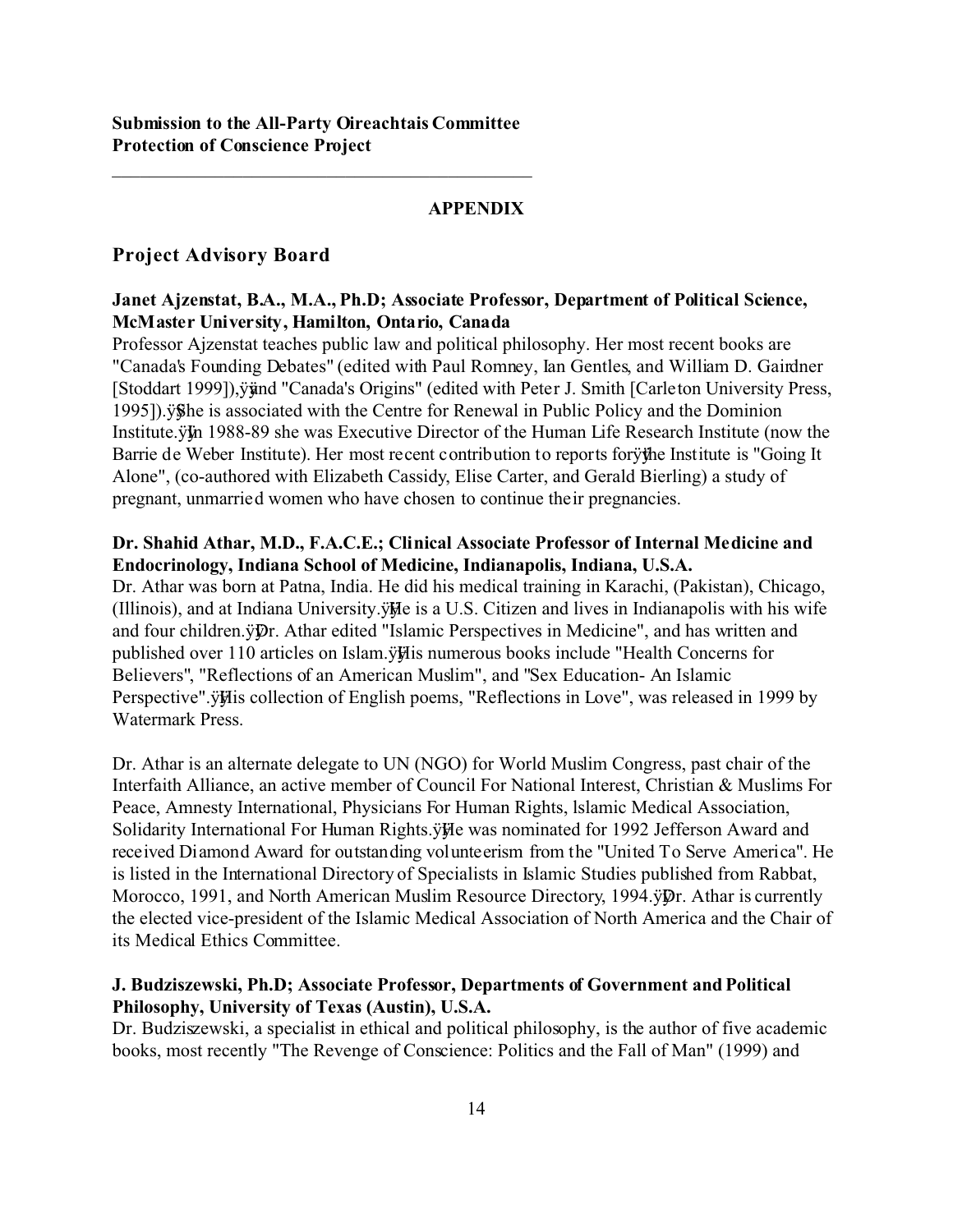## **APPENDIX**

## **Project Advisory Board**

#### **Janet Ajzenstat, B.A., M.A., Ph.D; Associate Professor, Department of Political Science, McMaster University, Hamilton, Ontario, Canada**

Professor Ajzenstat teaches public law and political philosophy. Her most recent books are "Canada's Founding Debates" (edited with Paul Romney, Ian Gentles, and William D. Gairdner [Stoddart 1999]), yünd "Canada's Origins" (edited with Peter J. Smith [Carleton University Press, 1995]).ÿÿ She is associated with the Centre for Renewal in Public Policy and the Dominion Institute.ÿIn 1988-89 she was Executive Director of the Human Life Research Institute (now the Barrie de Weber Institute). Her most recent contribution to reports for ythe Institute is "Going It Alone", (co-authored with Elizabeth Cassidy, Elise Carter, and Gerald Bierling) a study of pregnant, unmarried women who have chosen to continue their pregnancies.

#### **Dr. Shahid Athar, M.D., F.A.C.E.; Clinical Associate Professor of Internal Medicine and Endocrinology, Indiana School of Medicine, Indianapolis, Indiana, U.S.A.**

Dr. Athar was born at Patna, India. He did his medical training in Karachi, (Pakistan), Chicago, (Illinois), and at Indiana University.ÿÿ He is a U.S. Citizen and lives in Indianapolis with his wife and four children.ÿ $\mathfrak{p}_r$ . Athar edited "Islamic Perspectives in Medicine", and has written and published over 110 articles on Islam.ÿHis numerous books include "Health Concerns for Believers", "Reflections of an American Muslim", and "Sex Education- An Islamic Perspective".ÿHis collection of English poems, "Reflections in Love", was released in 1999 by Watermark Press.

Dr. Athar is an alternate delegate to UN (NGO) for World Muslim Congress, past chair of the Interfaith Alliance, an active member of Council For National Interest, Christian & Muslims For Peace, Amnesty International, Physicians For Human Rights, lslamic Medical Association, Solidarity International For Human Rights.ÿÿ He was nominated for 1992 Jefferson Award and received Diamond Award for outstanding volunteerism from the "United To Serve America". He is listed in the International Directory of Specialists in Islamic Studies published from Rabbat, Morocco, 1991, and North American Muslim Resource Directory, 1994. $\ddot{\psi}$ Pr. Athar is currently the elected vice-president of the Islamic Medical Association of North America and the Chair of its Medical Ethics Committee.

## **J. Budziszewski, Ph.D; Associate Professor, Departments of Government and Political Philosophy, University of Texas (Austin), U.S.A.**

Dr. Budziszewski, a specialist in ethical and political philosophy, is the author of five academic books, most recently "The Revenge of Conscience: Politics and the Fall of Man" (1999) and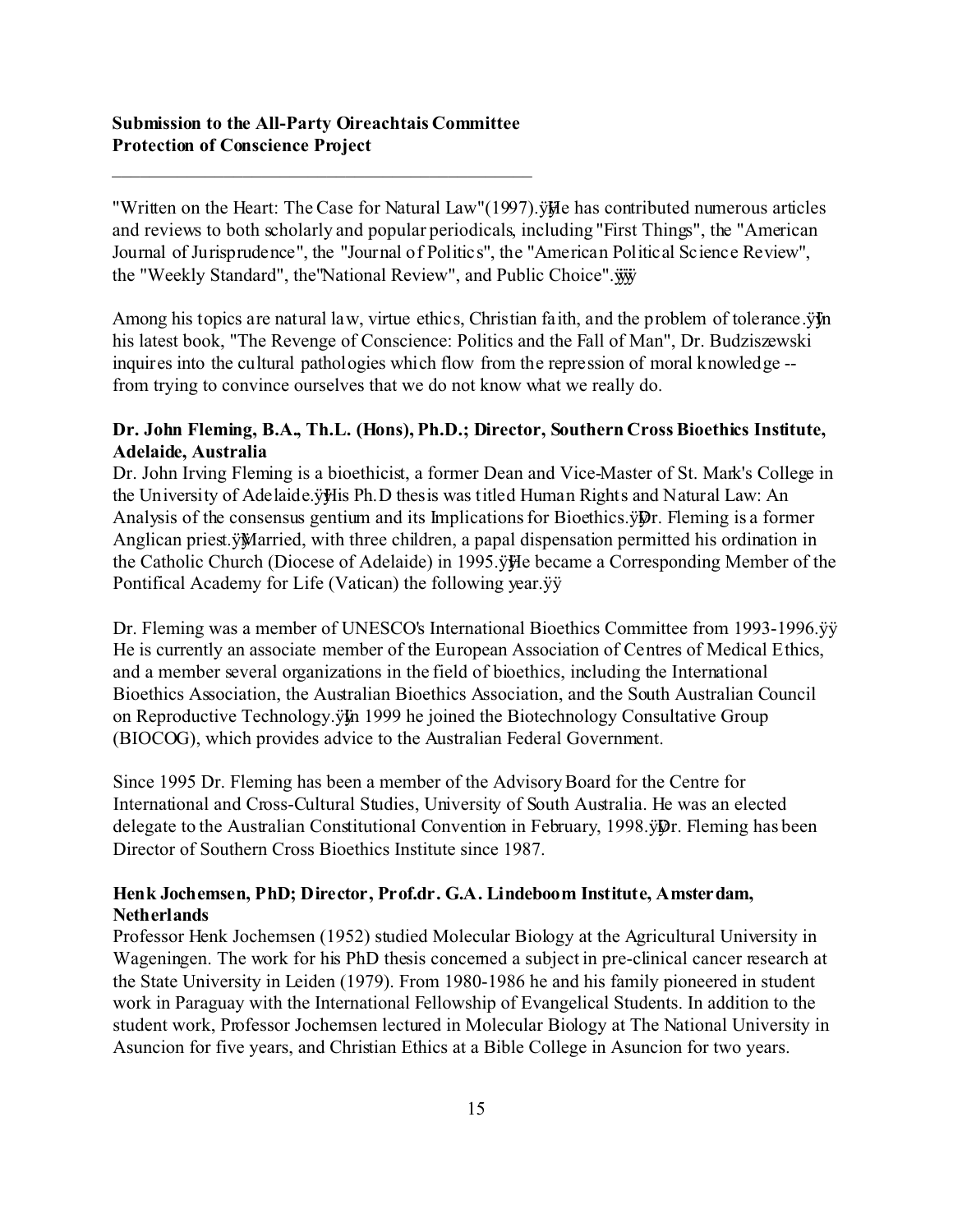\_\_\_\_\_\_\_\_\_\_\_\_\_\_\_\_\_\_\_\_\_\_\_\_\_\_\_\_\_\_\_\_\_\_\_\_\_\_\_\_\_\_\_\_\_

"Written on the Heart: The Case for Natural Law"(1997). $\ddot{\textbf{v}}$  has contributed numerous articles and reviews to both scholarly and popular periodicals, including "First Things", the "American Journal of Jurisprudence", the "Journal of Politics", the "American Political Science Review", the "Weekly Standard", the "National Review", and Public Choice". $\ddot{w}$ 

Among his topics are natural law, virtue ethics, Christian faith, and the problem of tolerance.  $\ddot{y}$  in his latest book, "The Revenge of Conscience: Politics and the Fall of Man", Dr. Budziszewski inquires into the cultural pathologies which flow from the repression of moral knowledge - from trying to convince ourselves that we do not know what we really do.

## **Dr. John Fleming, B.A., Th.L. (Hons), Ph.D.; Director, Southern Cross Bioethics Institute, Adelaide, Australia**

Dr. John Irving Fleming is a bioethicist, a former Dean and Vice-Master of St. Mark's College in the University of Adelaide.ÿHis Ph.D thesis was titled Human Rights and Natural Law: An Analysis of the consensus gentium and its Implications for Bioethics.  $\ddot{\psi}$ Pr. Fleming is a former Anglican priest.ÿMarried, with three children, a papal dispensation permitted his ordination in the Catholic Church (Diocese of Adelaide) in 1995.ÿÿ He became a Corresponding Member of the Pontifical Academy for Life (Vatican) the following year.ÿÿ

Dr. Fleming was a member of UNESCO's International Bioethics Committee from 1993-1996. $\ddot{y}$ He is currently an associate member of the European Association of Centres of Medical Ethics, and a member several organizations in the field of bioethics, including the International Bioethics Association, the Australian Bioethics Association, and the South Australian Council on Reproductive Technology. ÿ $\ddot{y}$  1999 he joined the Biotechnology Consultative Group (BIOCOG), which provides advice to the Australian Federal Government.

Since 1995 Dr. Fleming has been a member of the Advisory Board for the Centre for International and Cross-Cultural Studies, University of South Australia. He was an elected delegate to the Australian Constitutional Convention in February, 1998. yp. Fleming has been Director of Southern Cross Bioethics Institute since 1987.

## **Henk Jochemsen, PhD; Director, Prof.dr. G.A. Lindeboom Institute, Amsterdam, Netherlands**

Professor Henk Jochemsen (1952) studied Molecular Biology at the Agricultural University in Wageningen. The work for his PhD thesis concerned a subject in pre-clinical cancer research at the State University in Leiden (1979). From 1980-1986 he and his family pioneered in student work in Paraguay with the International Fellowship of Evangelical Students. In addition to the student work, Professor Jochemsen lectured in Molecular Biology at The National University in Asuncion for five years, and Christian Ethics at a Bible College in Asuncion for two years.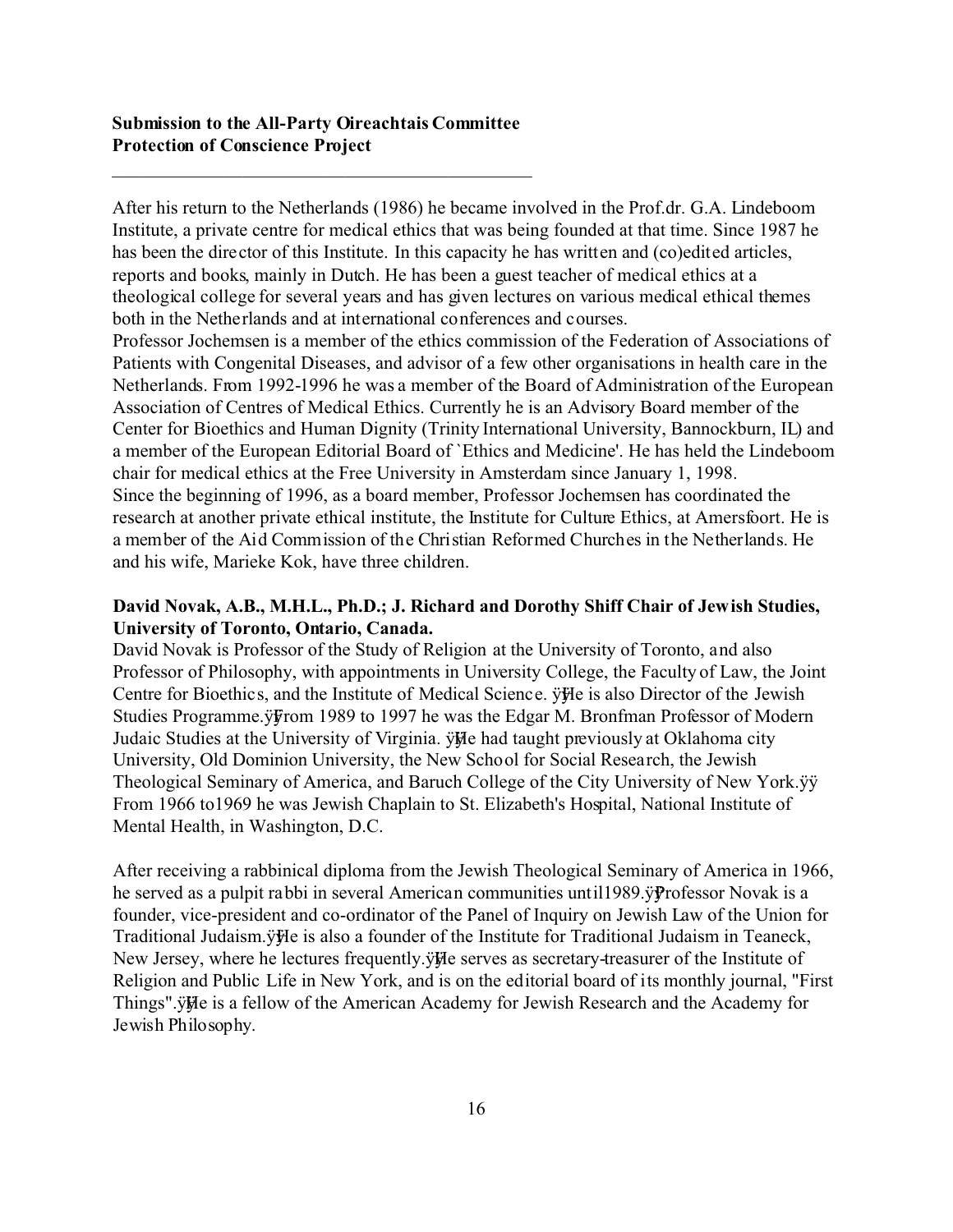\_\_\_\_\_\_\_\_\_\_\_\_\_\_\_\_\_\_\_\_\_\_\_\_\_\_\_\_\_\_\_\_\_\_\_\_\_\_\_\_\_\_\_\_\_

After his return to the Netherlands (1986) he became involved in the Prof.dr. G.A. Lindeboom Institute, a private centre for medical ethics that was being founded at that time. Since 1987 he has been the director of this Institute. In this capacity he has written and (co)edited articles, reports and books, mainly in Dutch. He has been a guest teacher of medical ethics at a theological college for several years and has given lectures on various medical ethical themes both in the Netherlands and at international conferences and courses.

Professor Jochemsen is a member of the ethics commission of the Federation of Associations of Patients with Congenital Diseases, and advisor of a few other organisations in health care in the Netherlands. From 1992-1996 he was a member of the Board of Administration of the European Association of Centres of Medical Ethics. Currently he is an Advisory Board member of the Center for Bioethics and Human Dignity (Trinity International University, Bannockburn, IL) and a member of the European Editorial Board of `Ethics and Medicine'. He has held the Lindeboom chair for medical ethics at the Free University in Amsterdam since January 1, 1998. Since the beginning of 1996, as a board member, Professor Jochemsen has coordinated the research at another private ethical institute, the Institute for Culture Ethics, at Amersfoort. He is a member of the Aid Commission of the Christian Reformed Churches in the Netherlands. He and his wife, Marieke Kok, have three children.

#### **David Novak, A.B., M.H.L., Ph.D.; J. Richard and Dorothy Shiff Chair of Jewish Studies, University of Toronto, Ontario, Canada.**

David Novak is Professor of the Study of Religion at the University of Toronto, and also Professor of Philosophy, with appointments in University College, the Faculty of Law, the Joint Centre for Bioethics, and the Institute of Medical Science.  $\ddot{\text{y}}$ He is also Director of the Jewish Studies Programme.ÿFrom 1989 to 1997 he was the Edgar M. Bronfman Professor of Modern Judaic Studies at the University of Virginia. ÿHe had taught previously at Oklahoma city University, Old Dominion University, the New School for Social Research, the Jewish Theological Seminary of America, and Baruch College of the City University of New York.ÿÿ From 1966 to1969 he was Jewish Chaplain to St. Elizabeth's Hospital, National Institute of Mental Health, in Washington, D.C.

After receiving a rabbinical diploma from the Jewish Theological Seminary of America in 1966, he served as a pulpit rabbi in several American communities until 1989. y Professor Novak is a founder, vice-president and co-ordinator of the Panel of Inquiry on Jewish Law of the Union for Traditional Judaism.ÿÿle is also a founder of the Institute for Traditional Judaism in Teaneck, New Jersey, where he lectures frequently. $\ddot{\text{y}}$  He serves as secretary-treasurer of the Institute of Religion and Public Life in New York, and is on the editorial board of its monthly journal, "First Things". ÿHe is a fellow of the American Academy for Jewish Research and the Academy for Jewish Philosophy.